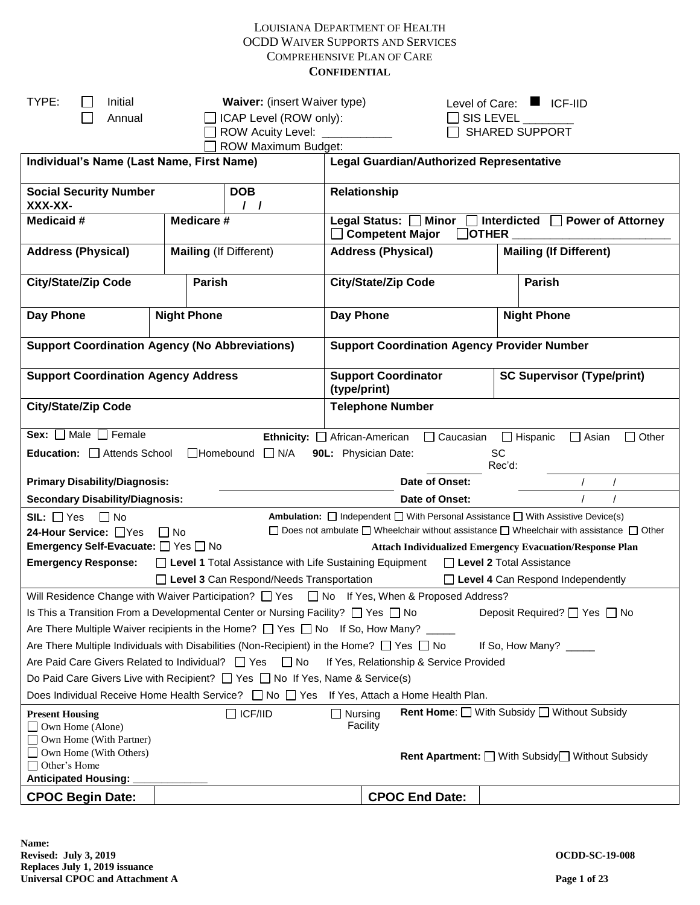| TYPE:<br>Initial<br>Annual                            |           | <b>Waiver:</b> (insert Waiver type)<br>ICAP Level (ROW only):                                                                                                                                   |                                                                                                       | SIS LEVEL                                                                                             |                     | Level of Care: ■ ICF-IID                                                                                     |  |  |
|-------------------------------------------------------|-----------|-------------------------------------------------------------------------------------------------------------------------------------------------------------------------------------------------|-------------------------------------------------------------------------------------------------------|-------------------------------------------------------------------------------------------------------|---------------------|--------------------------------------------------------------------------------------------------------------|--|--|
|                                                       |           | ROW Acuity Level: _<br><b>ROW Maximum Budget:</b>                                                                                                                                               |                                                                                                       |                                                                                                       |                     | <b>SHARED SUPPORT</b>                                                                                        |  |  |
| Individual's Name (Last Name, First Name)             |           |                                                                                                                                                                                                 |                                                                                                       | <b>Legal Guardian/Authorized Representative</b>                                                       |                     |                                                                                                              |  |  |
| <b>Social Security Number</b><br>XXX-XX-              |           | <b>DOB</b><br>$\prime$ $\prime$                                                                                                                                                                 | Relationship                                                                                          |                                                                                                       |                     |                                                                                                              |  |  |
| Medicaid #                                            |           | Medicare #                                                                                                                                                                                      | Legal Status: Minor<br>$\Box$ Interdicted $\Box$ Power of Attorney<br>Competent Major<br><b>OTHER</b> |                                                                                                       |                     |                                                                                                              |  |  |
| <b>Address (Physical)</b>                             |           | <b>Mailing (If Different)</b>                                                                                                                                                                   | <b>Address (Physical)</b><br><b>Mailing (If Different)</b>                                            |                                                                                                       |                     |                                                                                                              |  |  |
| <b>City/State/Zip Code</b>                            |           | <b>Parish</b>                                                                                                                                                                                   |                                                                                                       | <b>City/State/Zip Code</b>                                                                            |                     | <b>Parish</b>                                                                                                |  |  |
| Day Phone                                             |           | <b>Night Phone</b>                                                                                                                                                                              | Day Phone                                                                                             |                                                                                                       |                     | <b>Night Phone</b>                                                                                           |  |  |
| <b>Support Coordination Agency (No Abbreviations)</b> |           |                                                                                                                                                                                                 |                                                                                                       | <b>Support Coordination Agency Provider Number</b>                                                    |                     |                                                                                                              |  |  |
| <b>Support Coordination Agency Address</b>            |           |                                                                                                                                                                                                 | (type/print)                                                                                          | <b>Support Coordinator</b>                                                                            |                     | <b>SC Supervisor (Type/print)</b>                                                                            |  |  |
| <b>City/State/Zip Code</b>                            |           |                                                                                                                                                                                                 |                                                                                                       | <b>Telephone Number</b>                                                                               |                     |                                                                                                              |  |  |
| Sex: $\Box$ Male $\Box$ Female                        |           | Ethnicity: African-American                                                                                                                                                                     |                                                                                                       | $\Box$ Caucasian                                                                                      |                     | $\Box$ Hispanic<br>$\Box$ Asian<br>$\Box$ Other                                                              |  |  |
| Education: Attends School                             |           | $\Box$ Homebound $\Box$ N/A                                                                                                                                                                     |                                                                                                       | 90L: Physician Date:                                                                                  | <b>SC</b><br>Rec'd: |                                                                                                              |  |  |
| <b>Primary Disability/Diagnosis:</b>                  |           |                                                                                                                                                                                                 |                                                                                                       | Date of Onset:                                                                                        |                     |                                                                                                              |  |  |
| <b>Secondary Disability/Diagnosis:</b>                |           |                                                                                                                                                                                                 |                                                                                                       | Date of Onset:                                                                                        |                     |                                                                                                              |  |  |
| $SL: \Box$ Yes<br>$\Box$ No                           |           |                                                                                                                                                                                                 |                                                                                                       | <b>Ambulation:</b> $\Box$ Independent $\Box$ With Personal Assistance $\Box$ With Assistive Device(s) |                     |                                                                                                              |  |  |
| 24-Hour Service: □ Yes                                | $\Box$ No |                                                                                                                                                                                                 |                                                                                                       |                                                                                                       |                     | $\Box$ Does not ambulate $\Box$ Wheelchair without assistance $\Box$ Wheelchair with assistance $\Box$ Other |  |  |
| Emergency Self-Evacuate: Ves ONo                      |           |                                                                                                                                                                                                 |                                                                                                       | <b>Attach Individualized Emergency Evacuation/Response Plan</b>                                       |                     |                                                                                                              |  |  |
| <b>Emergency Response:</b>                            |           | □ Level 1 Total Assistance with Life Sustaining Equipment                                                                                                                                       |                                                                                                       | Level 2 Total Assistance                                                                              |                     |                                                                                                              |  |  |
|                                                       |           | Level 3 Can Respond/Needs Transportation                                                                                                                                                        |                                                                                                       |                                                                                                       |                     | $\Box$ Level 4 Can Respond Independently                                                                     |  |  |
|                                                       |           | Will Residence Change with Waiver Participation? $\Box$ Yes $\Box$ No If Yes, When & Proposed Address?                                                                                          |                                                                                                       |                                                                                                       |                     |                                                                                                              |  |  |
|                                                       |           | Is This a Transition From a Developmental Center or Nursing Facility? $\Box$ Yes $\Box$ No                                                                                                      |                                                                                                       |                                                                                                       |                     | Deposit Required? □ Yes □ No                                                                                 |  |  |
|                                                       |           | Are There Multiple Waiver recipients in the Home? $\Box$ Yes $\Box$ No If So, How Many? _____                                                                                                   |                                                                                                       |                                                                                                       |                     |                                                                                                              |  |  |
|                                                       |           | Are There Multiple Individuals with Disabilities (Non-Recipient) in the Home? $\Box$ Yes $\Box$ No                                                                                              |                                                                                                       |                                                                                                       |                     | If So, How Many? _____                                                                                       |  |  |
| Are Paid Care Givers Related to Individual? 4 Yes     |           | $\Box$ No                                                                                                                                                                                       |                                                                                                       | If Yes, Relationship & Service Provided                                                               |                     |                                                                                                              |  |  |
|                                                       |           | Do Paid Care Givers Live with Recipient? $\Box$ Yes $\Box$ No If Yes, Name & Service(s)<br>Does Individual Receive Home Health Service? $\Box$ No $\Box$ Yes If Yes, Attach a Home Health Plan. |                                                                                                       |                                                                                                       |                     |                                                                                                              |  |  |
|                                                       |           |                                                                                                                                                                                                 |                                                                                                       |                                                                                                       |                     | <b>Rent Home:</b> U With Subsidy U Without Subsidy                                                           |  |  |
| <b>Present Housing</b><br>$\Box$ Own Home (Alone)     |           | $\Box$ ICF/IID                                                                                                                                                                                  | $\Box$ Nursing                                                                                        | Facility                                                                                              |                     |                                                                                                              |  |  |
| □ Own Home (With Partner)                             |           |                                                                                                                                                                                                 |                                                                                                       |                                                                                                       |                     |                                                                                                              |  |  |
| □ Own Home (With Others)                              |           |                                                                                                                                                                                                 |                                                                                                       |                                                                                                       |                     | <b>Rent Apartment:</b> <i>□</i> With Subsidy <i>□</i> Without Subsidy                                        |  |  |
| □ Other's Home<br><b>Anticipated Housing:</b>         |           |                                                                                                                                                                                                 |                                                                                                       |                                                                                                       |                     |                                                                                                              |  |  |
| <b>CPOC Begin Date:</b>                               |           |                                                                                                                                                                                                 |                                                                                                       | <b>CPOC End Date:</b>                                                                                 |                     |                                                                                                              |  |  |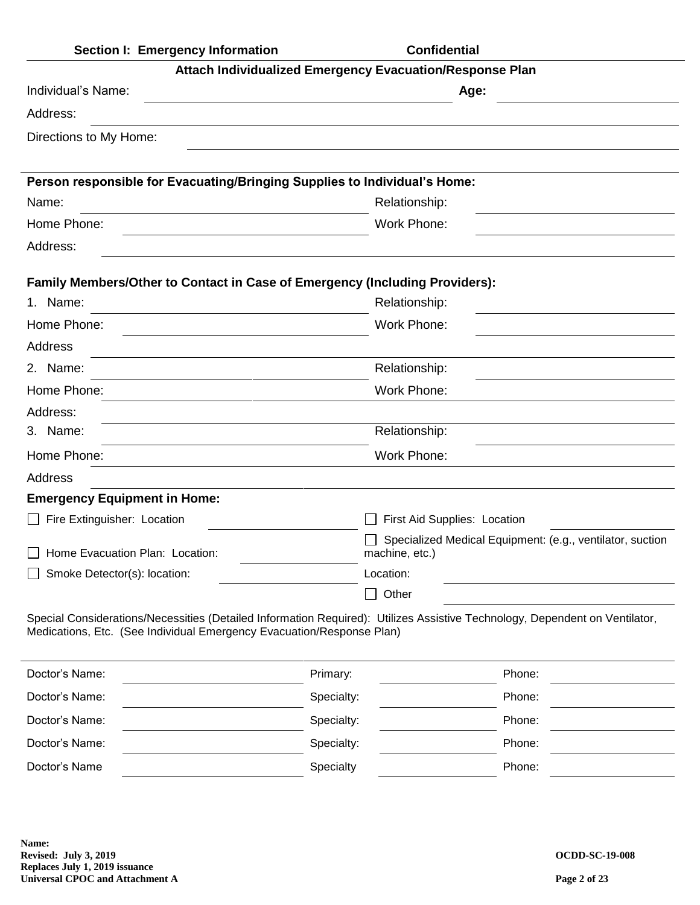| Section I: Emergency Information                                                                                                                                                                     |            | <b>Confidential</b>          |                                                           |
|------------------------------------------------------------------------------------------------------------------------------------------------------------------------------------------------------|------------|------------------------------|-----------------------------------------------------------|
| Attach Individualized Emergency Evacuation/Response Plan                                                                                                                                             |            |                              |                                                           |
| Individual's Name:                                                                                                                                                                                   |            |                              | Age:                                                      |
| Address:                                                                                                                                                                                             |            |                              |                                                           |
| Directions to My Home:                                                                                                                                                                               |            |                              |                                                           |
|                                                                                                                                                                                                      |            |                              |                                                           |
| Person responsible for Evacuating/Bringing Supplies to Individual's Home:                                                                                                                            |            |                              |                                                           |
| Name:                                                                                                                                                                                                |            | Relationship:                |                                                           |
| Home Phone:                                                                                                                                                                                          |            | Work Phone:                  |                                                           |
| Address:                                                                                                                                                                                             |            |                              |                                                           |
| Family Members/Other to Contact in Case of Emergency (Including Providers):                                                                                                                          |            |                              |                                                           |
| 1. Name:                                                                                                                                                                                             |            | Relationship:                |                                                           |
| Home Phone:                                                                                                                                                                                          |            | Work Phone:                  |                                                           |
| Address                                                                                                                                                                                              |            |                              |                                                           |
| 2. Name:                                                                                                                                                                                             |            | Relationship:                |                                                           |
| Home Phone:                                                                                                                                                                                          |            | Work Phone:                  |                                                           |
| Address:                                                                                                                                                                                             |            |                              |                                                           |
| 3. Name:                                                                                                                                                                                             |            | Relationship:                |                                                           |
| Home Phone:                                                                                                                                                                                          |            | Work Phone:                  |                                                           |
| Address                                                                                                                                                                                              |            |                              |                                                           |
| <b>Emergency Equipment in Home:</b>                                                                                                                                                                  |            |                              |                                                           |
| Fire Extinguisher: Location                                                                                                                                                                          |            | First Aid Supplies: Location |                                                           |
| Home Evacuation Plan: Location:                                                                                                                                                                      |            | machine, etc.)               | Specialized Medical Equipment: (e.g., ventilator, suction |
| Smoke Detector(s): location:                                                                                                                                                                         |            | Location:                    |                                                           |
|                                                                                                                                                                                                      |            | Other<br>$\blacksquare$      |                                                           |
| Special Considerations/Necessities (Detailed Information Required): Utilizes Assistive Technology, Dependent on Ventilator,<br>Medications, Etc. (See Individual Emergency Evacuation/Response Plan) |            |                              |                                                           |
| Doctor's Name:                                                                                                                                                                                       | Primary:   |                              | Phone:                                                    |
| Doctor's Name:                                                                                                                                                                                       | Specialty: |                              | Phone:                                                    |
| Doctor's Name:                                                                                                                                                                                       | Specialty: |                              | Phone:                                                    |
| Doctor's Name:                                                                                                                                                                                       | Specialty: |                              | Phone:                                                    |
| Doctor's Name                                                                                                                                                                                        | Specialty  |                              | Phone:                                                    |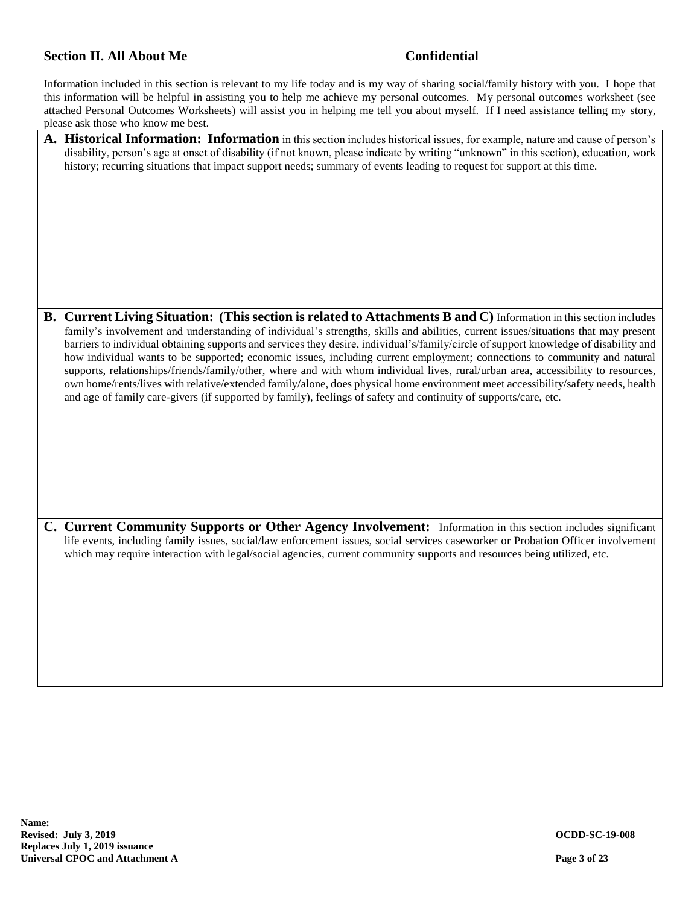# **Section II. All About Me Confidential**

Information included in this section is relevant to my life today and is my way of sharing social/family history with you. I hope that this information will be helpful in assisting you to help me achieve my personal outcomes. My personal outcomes worksheet (see attached Personal Outcomes Worksheets) will assist you in helping me tell you about myself. If I need assistance telling my story, please ask those who know me best.

- **A. Historical Information: Information** in this section includes historical issues, for example, nature and cause of person's disability, person's age at onset of disability (if not known, please indicate by writing "unknown" in this section), education, work history; recurring situations that impact support needs; summary of events leading to request for support at this time. **B. Current Living Situation: (This section is related to Attachments B and C)** Information in this section includes family's involvement and understanding of individual's strengths, skills and abilities, current issues/situations that may present barriers to individual obtaining supports and services they desire, individual's/family/circle of support knowledge of disability and how individual wants to be supported; economic issues, including current employment; connections to community and natural supports, relationships/friends/family/other, where and with whom individual lives, rural/urban area, accessibility to resources, own home/rents/lives with relative/extended family/alone, does physical home environment meet accessibility/safety needs, health and age of family care-givers (if supported by family), feelings of safety and continuity of supports/care, etc.
- **C. Current Community Supports or Other Agency Involvement:** Information in this section includes significant life events, including family issues, social/law enforcement issues, social services caseworker or Probation Officer involvement which may require interaction with legal/social agencies, current community supports and resources being utilized, etc.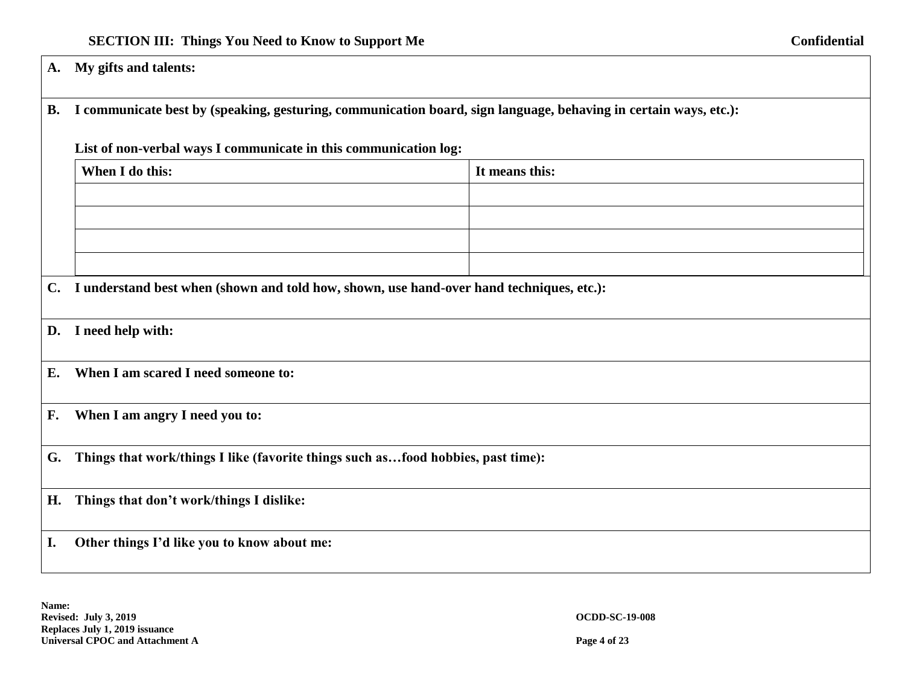**A. My gifts and talents:**

# **B. I communicate best by (speaking, gesturing, communication board, sign language, behaving in certain ways, etc.):**

# **List of non-verbal ways I communicate in this communication log:**

|    | When I do this:                                                                             | It means this: |
|----|---------------------------------------------------------------------------------------------|----------------|
|    |                                                                                             |                |
|    |                                                                                             |                |
|    |                                                                                             |                |
|    |                                                                                             |                |
|    | C. I understand best when (shown and told how, shown, use hand-over hand techniques, etc.): |                |
|    | D. I need help with:                                                                        |                |
|    | E. When I am scared I need someone to:                                                      |                |
|    | F. When I am angry I need you to:                                                           |                |
|    | G. Things that work/things I like (favorite things such asfood hobbies, past time):         |                |
|    | H. Things that don't work/things I dislike:                                                 |                |
| I. | Other things I'd like you to know about me:                                                 |                |

**Name: Revised: July 3, 2019 OCDD-SC-19-008 Replaces July 1, 2019 issuance Universal CPOC and Attachment A Page 4 of 23**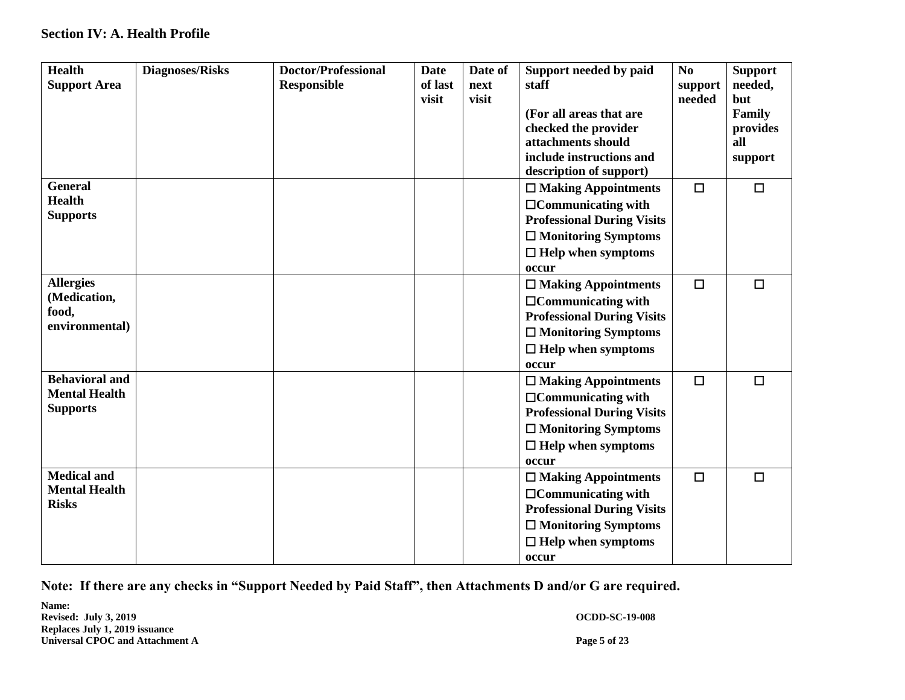# **Section IV: A. Health Profile**

| <b>Health</b><br><b>Support Area</b>                             | <b>Diagnoses/Risks</b> | <b>Doctor/Professional</b><br><b>Responsible</b> | <b>Date</b><br>of last<br>visit | Date of<br>next<br>visit | Support needed by paid<br>staff<br>(For all areas that are<br>checked the provider<br>attachments should<br>include instructions and<br>description of support)  | No<br>support<br>needed | <b>Support</b><br>needed,<br>but<br>Family<br>provides<br>all<br>support |
|------------------------------------------------------------------|------------------------|--------------------------------------------------|---------------------------------|--------------------------|------------------------------------------------------------------------------------------------------------------------------------------------------------------|-------------------------|--------------------------------------------------------------------------|
| <b>General</b><br><b>Health</b><br><b>Supports</b>               |                        |                                                  |                                 |                          | $\Box$ Making Appointments<br>$\Box$ Communicating with<br><b>Professional During Visits</b><br>$\Box$ Monitoring Symptoms<br>$\Box$ Help when symptoms<br>occur | $\Box$                  | $\Box$                                                                   |
| <b>Allergies</b><br>(Medication,<br>food,<br>environmental)      |                        |                                                  |                                 |                          | $\Box$ Making Appointments<br>$\Box$ Communicating with<br><b>Professional During Visits</b><br>$\Box$ Monitoring Symptoms<br>$\Box$ Help when symptoms<br>occur | $\Box$                  | $\Box$                                                                   |
| <b>Behavioral and</b><br><b>Mental Health</b><br><b>Supports</b> |                        |                                                  |                                 |                          | $\Box$ Making Appointments<br>$\Box$ Communicating with<br><b>Professional During Visits</b><br>$\Box$ Monitoring Symptoms<br>$\Box$ Help when symptoms<br>occur | $\Box$                  | $\Box$                                                                   |
| <b>Medical and</b><br><b>Mental Health</b><br><b>Risks</b>       |                        |                                                  |                                 |                          | $\Box$ Making Appointments<br>$\Box$ Communicating with<br><b>Professional During Visits</b><br>$\Box$ Monitoring Symptoms<br>$\Box$ Help when symptoms<br>occur | $\Box$                  | $\Box$                                                                   |

**Note: If there are any checks in "Support Needed by Paid Staff", then Attachments D and/or G are required.**

**Name: Revised: July 3, 2019 OCDD-SC-19-008 Replaces July 1, 2019 issuance Universal CPOC and Attachment A Page 5 of 23**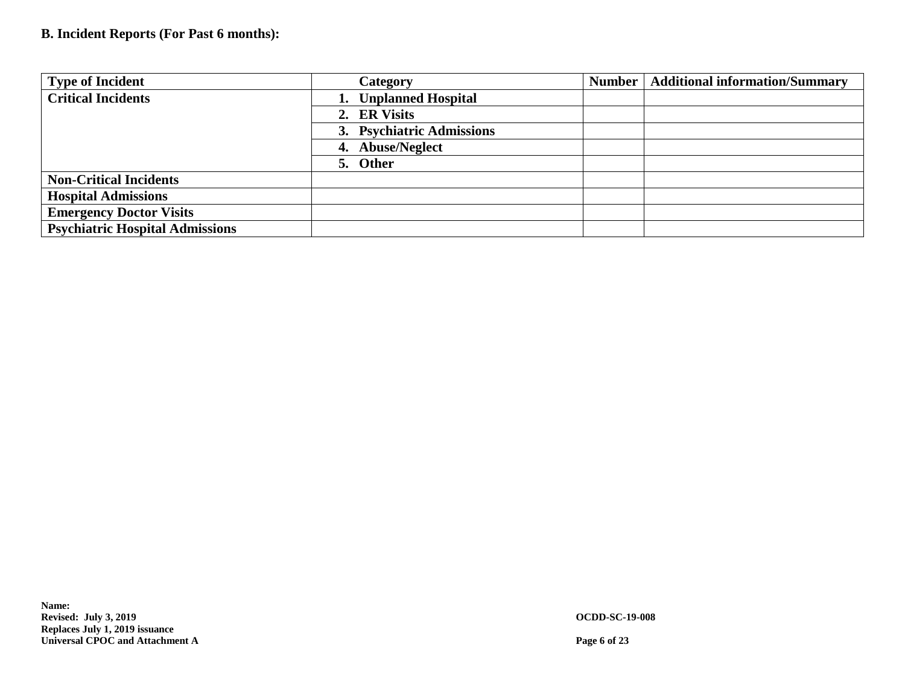# **B. Incident Reports (For Past 6 months):**

| <b>Type of Incident</b>                | Category                  | Number   Additional information/Summary |
|----------------------------------------|---------------------------|-----------------------------------------|
| <b>Critical Incidents</b>              | 1. Unplanned Hospital     |                                         |
|                                        | 2. ER Visits              |                                         |
|                                        | 3. Psychiatric Admissions |                                         |
|                                        | 4. Abuse/Neglect          |                                         |
|                                        | 5. Other                  |                                         |
| <b>Non-Critical Incidents</b>          |                           |                                         |
| <b>Hospital Admissions</b>             |                           |                                         |
| <b>Emergency Doctor Visits</b>         |                           |                                         |
| <b>Psychiatric Hospital Admissions</b> |                           |                                         |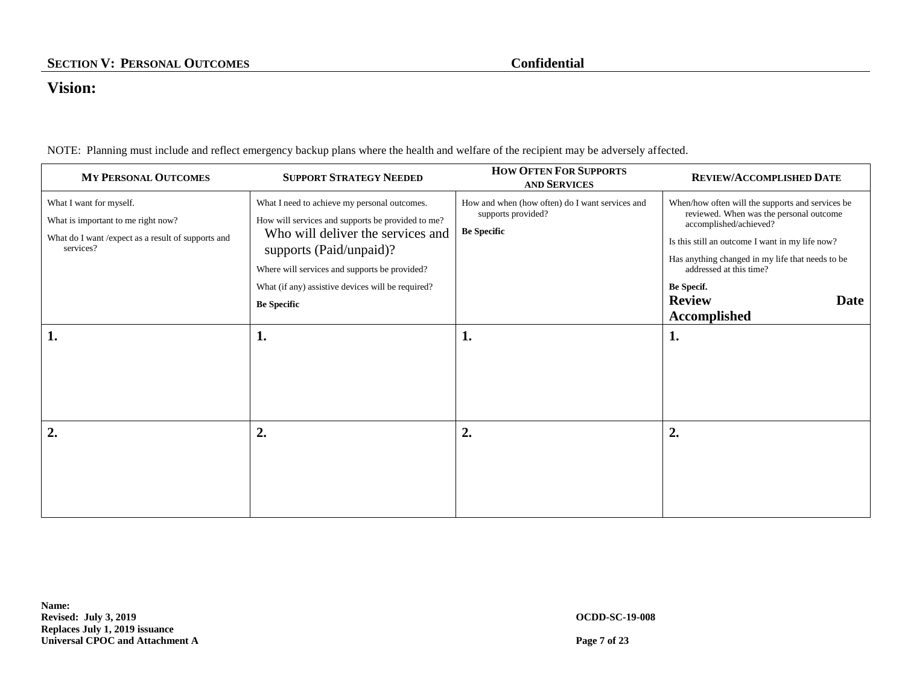# **Vision:**

NOTE: Planning must include and reflect emergency backup plans where the health and welfare of the recipient may be adversely affected.

| <b>MY PERSONAL OUTCOMES</b>                                                                                                       | <b>SUPPORT STRATEGY NEEDED</b>                                                                                                                                                                                                                                                                | <b>HOW OFTEN FOR SUPPORTS</b><br><b>AND SERVICES</b>                                        | REVIEW/ACCOMPLISHED DATE                                                                                                                                                                                                                                                                                       |
|-----------------------------------------------------------------------------------------------------------------------------------|-----------------------------------------------------------------------------------------------------------------------------------------------------------------------------------------------------------------------------------------------------------------------------------------------|---------------------------------------------------------------------------------------------|----------------------------------------------------------------------------------------------------------------------------------------------------------------------------------------------------------------------------------------------------------------------------------------------------------------|
| What I want for myself.<br>What is important to me right now?<br>What do I want / expect as a result of supports and<br>services? | What I need to achieve my personal outcomes.<br>How will services and supports be provided to me?<br>Who will deliver the services and<br>supports (Paid/unpaid)?<br>Where will services and supports be provided?<br>What (if any) assistive devices will be required?<br><b>Be Specific</b> | How and when (how often) do I want services and<br>supports provided?<br><b>Be Specific</b> | When/how often will the supports and services be<br>reviewed. When was the personal outcome<br>accomplished/achieved?<br>Is this still an outcome I want in my life now?<br>Has anything changed in my life that needs to be<br>addressed at this time?<br>Be Specif.<br><b>Review</b><br>Date<br>Accomplished |
| 1.                                                                                                                                | 1.                                                                                                                                                                                                                                                                                            | ı.                                                                                          | 1.                                                                                                                                                                                                                                                                                                             |
| $\overline{2}$ .                                                                                                                  | 2.                                                                                                                                                                                                                                                                                            | 2.                                                                                          | 2.                                                                                                                                                                                                                                                                                                             |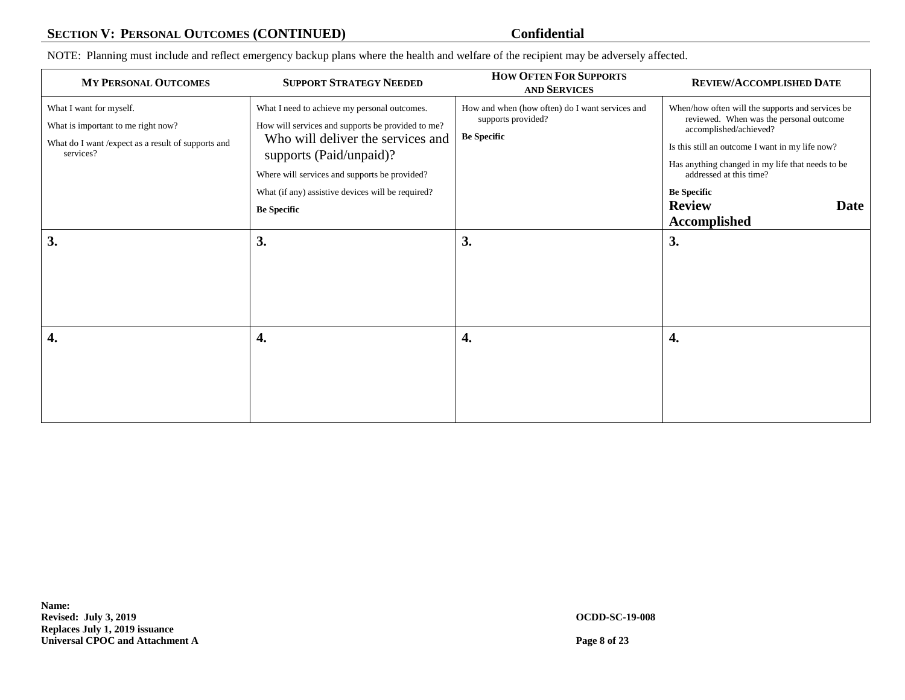# **SECTION V: PERSONAL OUTCOMES (CONTINUED) Confidential**

NOTE: Planning must include and reflect emergency backup plans where the health and welfare of the recipient may be adversely affected.

| <b>MY PERSONAL OUTCOMES</b>                                                                                                      | <b>SUPPORT STRATEGY NEEDED</b>                                                                                                                                                                                                                                                                | <b>HOW OFTEN FOR SUPPORTS</b><br><b>AND SERVICES</b>                                        | REVIEW/ACCOMPLISHED DATE                                                                                                                                                                                                                                                                                                      |
|----------------------------------------------------------------------------------------------------------------------------------|-----------------------------------------------------------------------------------------------------------------------------------------------------------------------------------------------------------------------------------------------------------------------------------------------|---------------------------------------------------------------------------------------------|-------------------------------------------------------------------------------------------------------------------------------------------------------------------------------------------------------------------------------------------------------------------------------------------------------------------------------|
| What I want for myself.<br>What is important to me right now?<br>What do I want /expect as a result of supports and<br>services? | What I need to achieve my personal outcomes.<br>How will services and supports be provided to me?<br>Who will deliver the services and<br>supports (Paid/unpaid)?<br>Where will services and supports be provided?<br>What (if any) assistive devices will be required?<br><b>Be Specific</b> | How and when (how often) do I want services and<br>supports provided?<br><b>Be Specific</b> | When/how often will the supports and services be<br>reviewed. When was the personal outcome<br>accomplished/achieved?<br>Is this still an outcome I want in my life now?<br>Has anything changed in my life that needs to be<br>addressed at this time?<br><b>Be Specific</b><br><b>Review</b><br>Date<br><b>Accomplished</b> |
| 3.                                                                                                                               | 3.                                                                                                                                                                                                                                                                                            | 3.                                                                                          | 3.                                                                                                                                                                                                                                                                                                                            |
| 4.                                                                                                                               | 4.                                                                                                                                                                                                                                                                                            | 4.                                                                                          | 4.                                                                                                                                                                                                                                                                                                                            |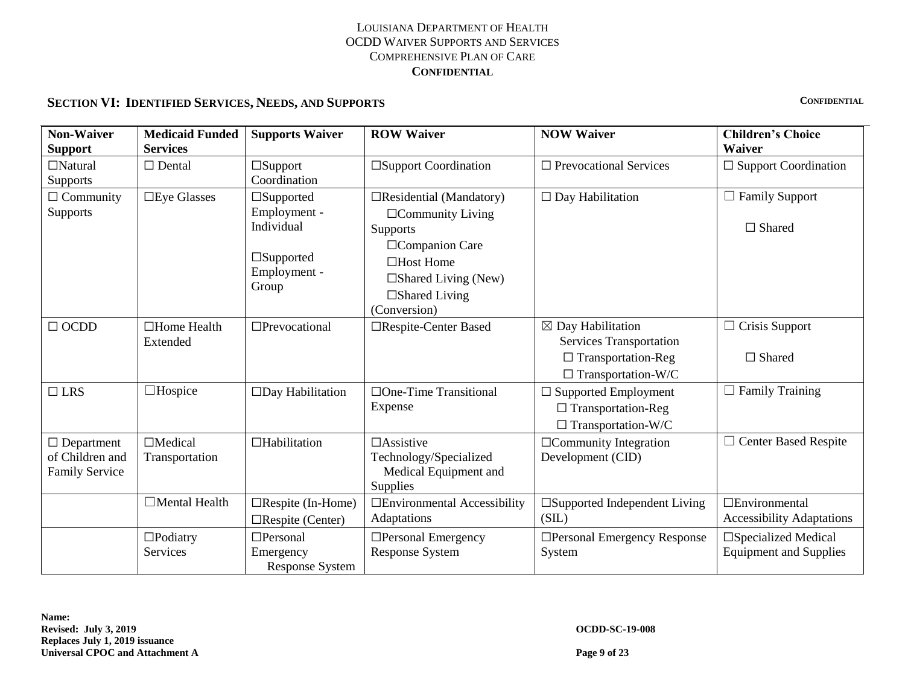# **SECTION VI: IDENTIFIED SERVICES, NEEDS, AND SUPPORTS CONFIDENTIAL**

| <b>Non-Waiver</b><br><b>Support</b>                           | <b>Medicaid Funded</b><br><b>Services</b> | <b>ROW Waiver</b><br><b>NOW Waiver</b><br><b>Supports Waiver</b>                               |                                                                                                                                                                                        |                                                                                                                   | <b>Children's Choice</b><br>Waiver                             |  |
|---------------------------------------------------------------|-------------------------------------------|------------------------------------------------------------------------------------------------|----------------------------------------------------------------------------------------------------------------------------------------------------------------------------------------|-------------------------------------------------------------------------------------------------------------------|----------------------------------------------------------------|--|
| $\Box$ Natural<br>Supports                                    | $\Box$ Dental                             | $\Box$ Support<br>Coordination                                                                 | $\square$ Support Coordination                                                                                                                                                         | $\Box$ Prevocational Services                                                                                     | $\Box$ Support Coordination                                    |  |
| $\Box$ Community<br>Supports                                  | $\square$ Eye Glasses                     | $\square$ Supported<br>Employment -<br>Individual<br>$\Box$ Supported<br>Employment -<br>Group | $\Box$ Residential (Mandatory)<br>$\Box$ Community Living<br>Supports<br>□ Companion Care<br>$\Box$ Host Home<br>$\square$ Shared Living (New)<br>$\Box$ Shared Living<br>(Conversion) | $\Box$ Day Habilitation                                                                                           | $\Box$ Family Support<br>$\Box$ Shared                         |  |
| $\Box$ OCDD                                                   | $\Box$ Home Health<br>Extended            | □Prevocational                                                                                 | □Respite-Center Based                                                                                                                                                                  | $\boxtimes$ Day Habilitation<br>Services Transportation<br>$\Box$ Transportation-Reg<br>$\Box$ Transportation-W/C | $\Box$ Crisis Support<br>$\Box$ Shared                         |  |
| $\Box$ LRS                                                    | $\Box$ Hospice                            | □Day Habilitation                                                                              | $\Box$ One-Time Transitional<br>Expense                                                                                                                                                | $\Box$ Supported Employment<br>$\Box$ Transportation-Reg<br>$\Box$ Transportation-W/C                             | $\Box$ Family Training                                         |  |
| $\Box$ Department<br>of Children and<br><b>Family Service</b> | $\Box$ Medical<br>Transportation          | $\Box$ Habilitation                                                                            | $\Box$ Assistive<br>Technology/Specialized<br>Medical Equipment and<br>Supplies                                                                                                        | $\Box$ Community Integration<br>Development (CID)                                                                 | $\Box$ Center Based Respite                                    |  |
|                                                               | $\Box$ Mental Health                      | $\Box$ Respite (In-Home)<br>$\Box$ Respite (Center)                                            | □Environmental Accessibility<br>Adaptations                                                                                                                                            | □Supported Independent Living<br>(SIL)                                                                            | □Environmental<br><b>Accessibility Adaptations</b>             |  |
|                                                               | $\Box$ Podiatry<br>Services               | $\Box$ Personal<br>Emergency<br><b>Response System</b>                                         | $\Box$ Personal Emergency<br><b>Response System</b>                                                                                                                                    | □Personal Emergency Response<br>System                                                                            | $\square$ Specialized Medical<br><b>Equipment and Supplies</b> |  |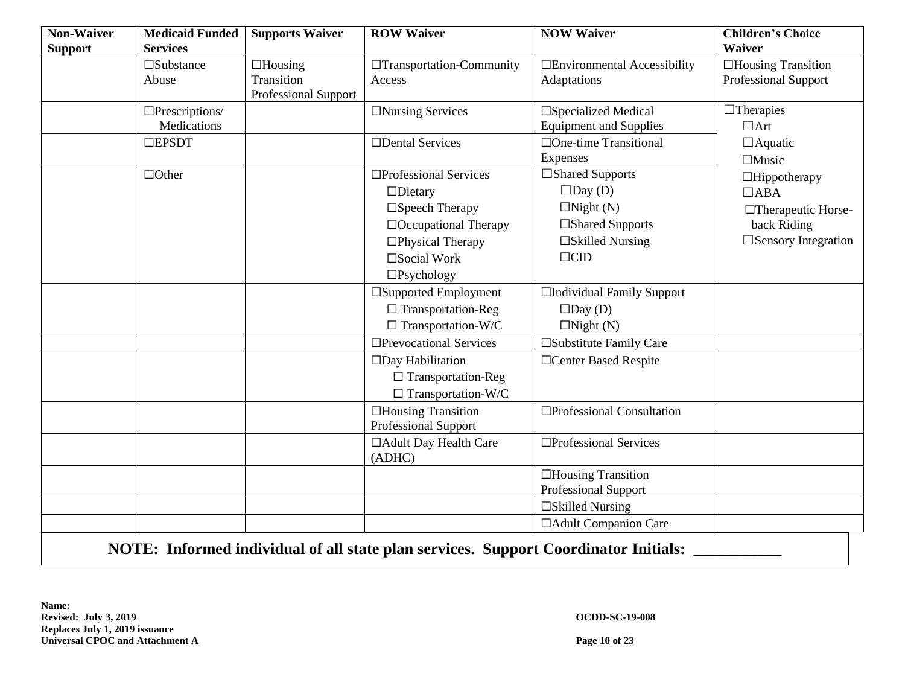| <b>Non-Waiver</b><br><b>Support</b> | <b>Medicaid Funded</b><br><b>Services</b>            | <b>Supports Waiver</b>                               | <b>ROW Waiver</b>                                                                    | <b>NOW Waiver</b>                                                                     | <b>Children's Choice</b><br>Waiver                   |
|-------------------------------------|------------------------------------------------------|------------------------------------------------------|--------------------------------------------------------------------------------------|---------------------------------------------------------------------------------------|------------------------------------------------------|
|                                     | $\square$ Substance<br>Abuse                         | $\Box$ Housing<br>Transition<br>Professional Support | □Transportation-Community<br>Access                                                  | □Environmental Accessibility<br>Adaptations                                           | $\Box$<br>Housing Transition<br>Professional Support |
|                                     | $\Box$ Prescriptions/<br>Medications<br>$\Box$ EPSDT |                                                      | $\Box$ Nursing Services<br>□Dental Services                                          | □Specialized Medical<br><b>Equipment and Supplies</b><br>$\Box$ One-time Transitional | $\Box$ Therapies<br>$\Box$ Art<br>$\Box$ Aquatic     |
|                                     |                                                      |                                                      |                                                                                      | Expenses                                                                              | $\Box$ Music                                         |
|                                     | $\Box$ Other                                         |                                                      | □Professional Services<br>$\Box$ Dietary                                             | □Shared Supports<br>$\Box$ Day (D)                                                    | $\Box$ Hippotherapy<br>$\Box$ ABA                    |
|                                     |                                                      |                                                      | $\square$ Speech Therapy<br>$\Box$ Occupational Therapy                              | $\Box$ Night (N)<br>□Shared Supports                                                  | □Therapeutic Horse-<br>back Riding                   |
|                                     |                                                      |                                                      | $\Box$ Physical Therapy<br>□Social Work                                              | $\square$ Skilled Nursing<br>$\Box$ CID                                               | $\square$ Sensory Integration                        |
|                                     |                                                      |                                                      | $\square$ Psychology                                                                 |                                                                                       |                                                      |
|                                     |                                                      |                                                      | $\square$ Supported Employment<br>$\Box$ Transportation-Reg                          | □Individual Family Support<br>$\square$ Day (D)                                       |                                                      |
|                                     |                                                      |                                                      | $\Box$ Transportation-W/C                                                            | $\Box$ Night (N)                                                                      |                                                      |
|                                     |                                                      |                                                      | □Prevocational Services                                                              | □Substitute Family Care                                                               |                                                      |
|                                     |                                                      |                                                      | $\square$ Day Habilitation<br>$\Box$ Transportation-Reg<br>$\Box$ Transportation-W/C | □Center Based Respite                                                                 |                                                      |
|                                     |                                                      |                                                      | $\Box$ Housing Transition<br>Professional Support                                    | □Professional Consultation                                                            |                                                      |
|                                     |                                                      |                                                      | □ Adult Day Health Care<br>(ADHC)                                                    | □Professional Services                                                                |                                                      |
|                                     |                                                      |                                                      |                                                                                      | $\Box$ Housing Transition<br>Professional Support                                     |                                                      |
|                                     |                                                      |                                                      |                                                                                      | $\square$ Skilled Nursing                                                             |                                                      |
|                                     |                                                      |                                                      |                                                                                      | □ Adult Companion Care                                                                |                                                      |

NOTE: Informed individual of all state plan services. Support Coordinator Initials:

**Name: Revised: July 3, 2019 OCDD-SC-19-008 Replaces July 1, 2019 issuance Universal CPOC and Attachment A Page 10 of 23**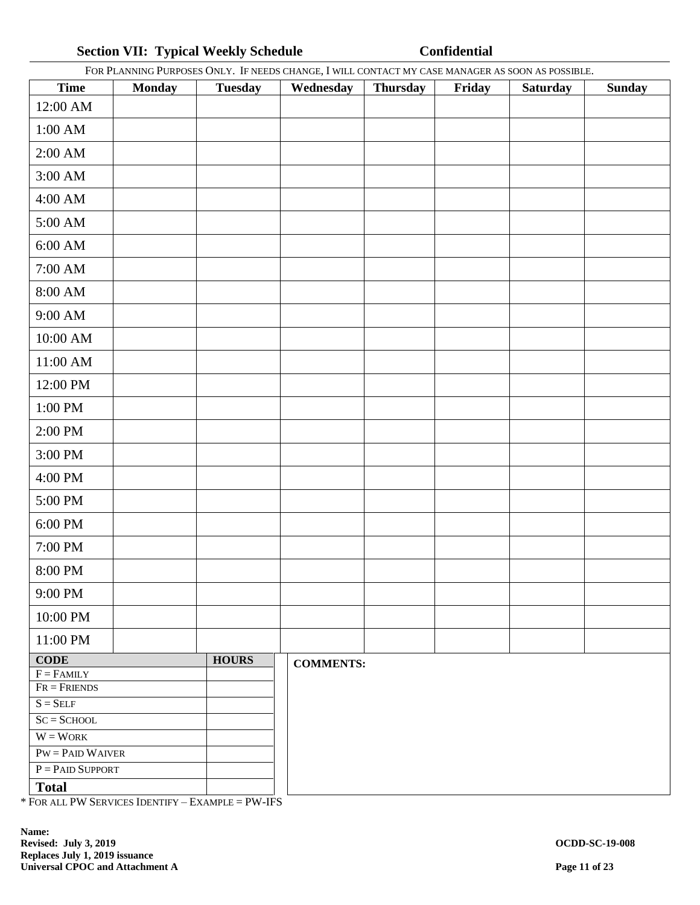# **Section VII: Typical Weekly Schedule <b>Confidential**

|                           |               |                | FOR PLANNING PURPOSES ONLY. IF NEEDS CHANGE, I WILL CONTACT MY CASE MANAGER AS SOON AS POSSIBLE. |          |        |                 |               |
|---------------------------|---------------|----------------|--------------------------------------------------------------------------------------------------|----------|--------|-----------------|---------------|
| <b>Time</b>               | <b>Monday</b> | <b>Tuesday</b> | Wednesday                                                                                        | Thursday | Friday | <b>Saturday</b> | <b>Sunday</b> |
| 12:00 AM                  |               |                |                                                                                                  |          |        |                 |               |
| 1:00 AM                   |               |                |                                                                                                  |          |        |                 |               |
| 2:00 AM                   |               |                |                                                                                                  |          |        |                 |               |
| 3:00 AM                   |               |                |                                                                                                  |          |        |                 |               |
| 4:00 AM                   |               |                |                                                                                                  |          |        |                 |               |
| 5:00 AM                   |               |                |                                                                                                  |          |        |                 |               |
| 6:00 AM                   |               |                |                                                                                                  |          |        |                 |               |
| $7:00~\mathrm{AM}$        |               |                |                                                                                                  |          |        |                 |               |
| $8:00$ AM $\,$            |               |                |                                                                                                  |          |        |                 |               |
| 9:00 AM                   |               |                |                                                                                                  |          |        |                 |               |
| 10:00 AM                  |               |                |                                                                                                  |          |        |                 |               |
| 11:00 AM                  |               |                |                                                                                                  |          |        |                 |               |
| 12:00 PM                  |               |                |                                                                                                  |          |        |                 |               |
| 1:00 PM                   |               |                |                                                                                                  |          |        |                 |               |
| 2:00 PM                   |               |                |                                                                                                  |          |        |                 |               |
| 3:00 PM                   |               |                |                                                                                                  |          |        |                 |               |
| 4:00 PM                   |               |                |                                                                                                  |          |        |                 |               |
| 5:00 PM                   |               |                |                                                                                                  |          |        |                 |               |
| 6:00 PM                   |               |                |                                                                                                  |          |        |                 |               |
| 7:00 PM                   |               |                |                                                                                                  |          |        |                 |               |
| $8:00 \; \mathrm{PM}$     |               |                |                                                                                                  |          |        |                 |               |
| 9:00 PM                   |               |                |                                                                                                  |          |        |                 |               |
| 10:00 PM                  |               |                |                                                                                                  |          |        |                 |               |
| 11:00 PM                  |               |                |                                                                                                  |          |        |                 |               |
| $CODE$                    |               | <b>HOURS</b>   | <b>COMMENTS:</b>                                                                                 |          |        |                 |               |
| $F = FAMILY$              |               |                |                                                                                                  |          |        |                 |               |
| $\overline{FR}$ = FRIENDS |               |                |                                                                                                  |          |        |                 |               |
| $S = SELF$                |               |                |                                                                                                  |          |        |                 |               |
| $SC = SCHOOL$             |               |                |                                                                                                  |          |        |                 |               |
| $W = W$ ORK               |               |                |                                                                                                  |          |        |                 |               |
| $PW = PAID$ WAIVER        |               |                |                                                                                                  |          |        |                 |               |
| $P =$ PAID SUPPORT        |               |                |                                                                                                  |          |        |                 |               |
| <b>Total</b>              |               |                |                                                                                                  |          |        |                 |               |

\* FOR ALL PW SERVICES IDENTIFY – EXAMPLE = PW-IFS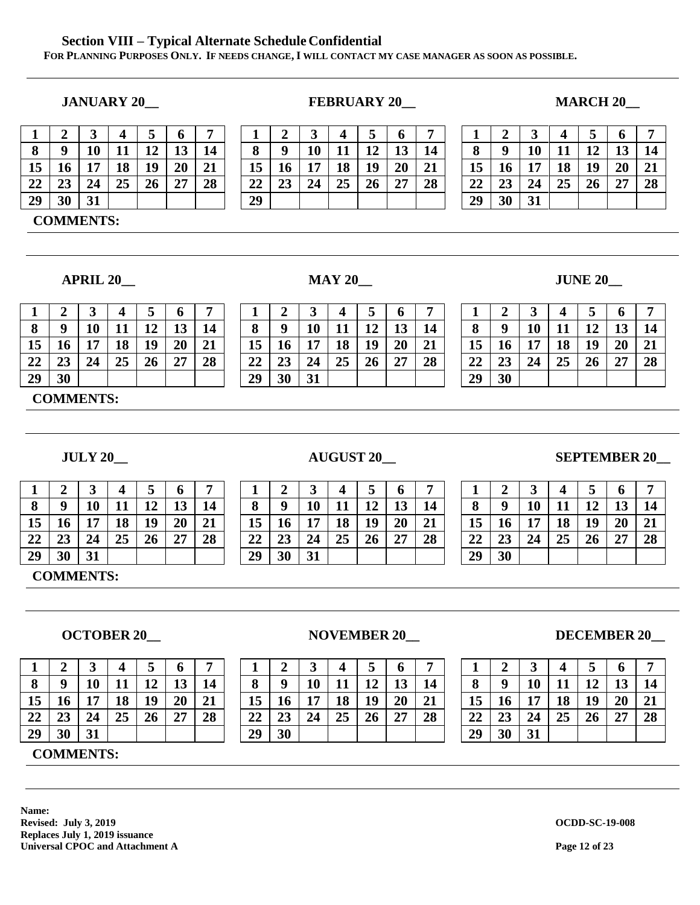### **Section VIII – Typical Alternate Schedule Confidential FOR PLANNING PURPOSES ONLY. IF NEEDS CHANGE, I WILL CONTACT MY CASE MANAGER AS SOON AS POSSIBLE.**

|    |             |    |    |         |          |    |    |             | ັ  |         |                     |    | −  |    |             |    |    |                     |          | $\overline{ }$ |
|----|-------------|----|----|---------|----------|----|----|-------------|----|---------|---------------------|----|----|----|-------------|----|----|---------------------|----------|----------------|
|    | $\mathbf o$ | 10 |    | 12<br>ᅩ | 12<br>⊥ၪ | 14 | 8  | $\mathbf o$ | 10 | 11<br>ᅭ | 12<br>┸ <del></del> | ΤÛ | 14 | 8  | $\mathbf o$ | 10 |    | 19<br>┸ <del></del> | 12<br>lν | 14             |
| 15 | 16          | 17 | 18 | 19      | 20       | 21 | 15 | 16          | 17 | 18      | 19                  | 20 | 21 | 15 | 16          | 17 | 18 | 19                  | 20       | 21             |
| 22 | 23          | 24 | 25 | 26      | 27       | 28 | 22 | 23          | 24 | 25      | 26                  | 27 | 28 | 22 | 23          | 24 | 25 | 26                  | 27       | 28             |
| 29 | 30          | 31 |    |         |          |    | 29 |             |    |         |                     |    |    | 29 | 30          | 31 |    |                     |          |                |
|    |             |    |    |         |          |    |    |             |    |         |                     |    |    |    |             |    |    |                     |          |                |

### **COMMENTS:**

|    |    |    |    | 5  | 6  |    |
|----|----|----|----|----|----|----|
| 8  | 9  | 10 | 11 | 12 | 13 | 14 |
| 15 | 16 | 17 | 18 | 19 | 20 | 21 |
| 22 | 23 | 24 | 25 | 26 | 27 | 28 |
| 29 | 30 |    |    |    |    |    |

**COMMENTS:**

|    |    | 3  | 4  | 5  | 6  |    |
|----|----|----|----|----|----|----|
| 8  | q  | 10 | 11 | 12 | 13 | 14 |
| 15 | 16 | 17 | 18 | 19 | 20 | 21 |
| 22 | 23 | 24 | 25 | 26 | 27 | 28 |
| 29 | 30 | 31 |    |    |    |    |

# **COMMENTS:**

|    |    | 3  | 4  | 5  | 6  |    |
|----|----|----|----|----|----|----|
| 8  | 9  | 10 | 11 | 12 | 13 | 14 |
| 15 | 16 | 17 | 18 | 19 | 20 | 21 |
| 22 | 23 | 24 | 25 | 26 | 27 | 28 |
| 29 | 30 | 31 |    |    |    |    |

**COMMENTS:**

| <b>JANUARY 20</b> | <b>FEBRUARY 20</b> | <b>MARCH 20</b> |
|-------------------|--------------------|-----------------|
|                   |                    |                 |

|    |    |    | 4  | 5  | 6  |    |
|----|----|----|----|----|----|----|
| 8  | 9  | 10 | 11 | 12 | 13 | 14 |
| 15 | 16 | 17 | 18 | 19 | 20 | 21 |
| 22 | 23 | 24 | 25 | 26 | 27 | 28 |
| 29 | 30 | 31 |    |    |    |    |

**APRIL 20\_\_ MAY 20\_\_ JUNE 20\_\_**

|    |            | ີ   |    |                     |                               |           |          |             |    |    |                     | O  |          |              |           |          |    |                         |                 | $\overline{ }$ |
|----|------------|-----|----|---------------------|-------------------------------|-----------|----------|-------------|----|----|---------------------|----|----------|--------------|-----------|----------|----|-------------------------|-----------------|----------------|
| 8  |            | 10  | ᅭ  | 10<br>┸ <del></del> | $\overline{\mathbf{c}}$<br>⊥J | 14        | $\Omega$ | $\mathbf o$ | 10 | ** | 10<br>┸ <del></del> | 13 | 14       | $\Omega$     | $\Omega$  | 10       |    | $\sim$<br>┸ <del></del> | 11<br>ᆂᇦ        | 14             |
| 15 | 10         | . . | 18 | 19                  | 20                            | $^{\sim}$ | 13       | 16          | 15 | 18 | 19                  | 20 | 21<br>41 | ∸            |           | ⊶י       | 18 | 10                      | 20              | 21             |
| 22 | n n<br>້⊿J | ◢▜  | 25 | 26                  | $\sim$<br>41                  | 28        | າາ<br>◢◢ | 23          | 24 | 25 | 26                  | 27 | 28       | $\mathbf{A}$ | າາ<br>້⊿J | 24<br>∠− | 25 | 26                      | <b>OT</b><br>41 | 28             |
| 29 | 30         |     |    |                     |                               |           | 29       | 30          | 31 |    |                     |    |          | 29           | 30        |          |    |                         |                 |                |

|    |                    |     |    |                     |    |          |          |             | ັ  |    |    | o  | $\overline{ }$ |              |          | ັ  |    |                     |          | $\overline{ }$ |
|----|--------------------|-----|----|---------------------|----|----------|----------|-------------|----|----|----|----|----------------|--------------|----------|----|----|---------------------|----------|----------------|
| 8  |                    | 10  | ᅭ  | 12<br>┸ <del></del> | 13 | 14       | $\Omega$ | $\mathbf o$ | 10 | 11 | 12 | 13 | 14             | $\mathbf{o}$ | $\Omega$ | 10 |    | 10<br>┸ <del></del> | 12<br>⊥J | 14             |
| 15 | 16                 | 1 . | 18 | 19                  | 20 | 21<br>41 | 15       | 16          | 17 | 18 | 19 | 20 | 21             | 15           |          | 17 | 18 | 19                  | 20       | 21             |
| 22 | $\mathbf{A}$<br>49 | 24  | 25 | 26                  | 27 | 28       | 22       | 23          | 24 | 25 | 26 | 27 | 28             | 22           | 23       | 24 | 25 | 26                  | 27       | 28             |
| 29 | 30                 | 31  |    |                     |    |          | 29       | 30          | 31 |    |    |    |                | 29           | 30       |    |    |                     |          |                |

### **JULY 20\_\_ AUGUST 20\_\_ SEPTEMBER 20\_\_**

|    | 2  | 3  | 4  | 5  | 6  | 7  |
|----|----|----|----|----|----|----|
| 8  | 9  | 10 | 11 | 12 | 13 | 14 |
| 15 | 16 | 17 | 18 | 19 | 20 | 21 |
| 22 | 23 | 24 | 25 | 26 | 27 | 28 |
| 29 | 30 |    |    |    |    |    |

# **OCTOBER 20\_\_ NOVEMBER 20\_\_ DECEMBER 20\_\_**

| $\overline{ }$ |
|----------------|
|                |
| 14<br>▏⌒<br>∸  |
| 21<br>20       |
| 28<br>דר<br>41 |
|                |
|                |

|    | 2  | 3  | 4  | 5  | 6  | 7  |
|----|----|----|----|----|----|----|
| 8  | 9  | 10 | 11 | 12 | 13 | 14 |
| 15 | 16 | 17 | 18 | 19 | 20 | 21 |
| 22 | 23 | 24 | 25 | 26 | 27 | 28 |
| 29 | 30 | 31 |    |    |    |    |

|  |    |    |    | $\epsilon$ |
|--|----|----|----|------------|
|  | 8  | y  | 10 | ш          |
|  | 15 | 16 | 17 | 18         |
|  |    | .  |    | ЭE         |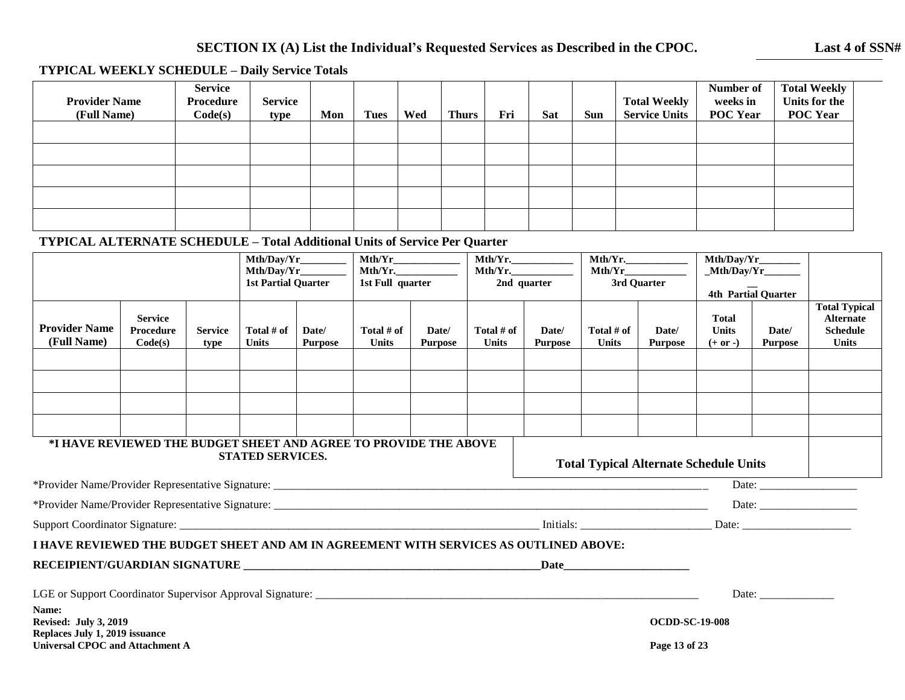# **SECTION IX (A) List the Individual's Requested Services as Described in the CPOC. Last 4 of SSN#**

# **TYPICAL WEEKLY SCHEDULE – Daily Service Totals**

| <b>Provider Name</b><br>(Full Name) | <b>Service</b><br>Procedure<br>Code(s) | <b>Service</b><br>type | Mon | <b>Tues</b> | Wed | <b>Thurs</b> | Fri | <b>Sat</b> | Sun | <b>Total Weekly</b><br><b>Service Units</b> | Number of<br>weeks in<br><b>POC Year</b> | <b>Total Weekly</b><br>Units for the<br><b>POC Year</b> |
|-------------------------------------|----------------------------------------|------------------------|-----|-------------|-----|--------------|-----|------------|-----|---------------------------------------------|------------------------------------------|---------------------------------------------------------|
|                                     |                                        |                        |     |             |     |              |     |            |     |                                             |                                          |                                                         |
|                                     |                                        |                        |     |             |     |              |     |            |     |                                             |                                          |                                                         |
|                                     |                                        |                        |     |             |     |              |     |            |     |                                             |                                          |                                                         |
|                                     |                                        |                        |     |             |     |              |     |            |     |                                             |                                          |                                                         |
|                                     |                                        |                        |     |             |     |              |     |            |     |                                             |                                          |                                                         |

### **TYPICAL ALTERNATE SCHEDULE – Total Additional Units of Service Per Quarter**

|                                                                                                            |                                               |                        |                              | Mth/Day/Yr<br>Mth/Day/Yr_________<br><b>1st Partial Quarter</b> |                              | Mth/Yr<br>$Mth/Yr$ .<br>1st Full quarter |                              | $Mth/Yr$ .<br>$Mth/Yr$ .<br>2nd quarter | $Mth/Yr$ .<br>Mth/Yr<br>3rd Quarter           |                                        | $\boxed{\text{Mth}/\text{Day}/\text{Yr}}$<br>Mth/Day/Yr<br>4th Partial Quarter |                         |                                                                             |
|------------------------------------------------------------------------------------------------------------|-----------------------------------------------|------------------------|------------------------------|-----------------------------------------------------------------|------------------------------|------------------------------------------|------------------------------|-----------------------------------------|-----------------------------------------------|----------------------------------------|--------------------------------------------------------------------------------|-------------------------|-----------------------------------------------------------------------------|
| <b>Provider Name</b><br>(Full Name)                                                                        | <b>Service</b><br><b>Procedure</b><br>Code(s) | <b>Service</b><br>type | Total $#$ of<br><b>Units</b> | Date/<br><b>Purpose</b>                                         | Total $#$ of<br><b>Units</b> | Date/<br><b>Purpose</b>                  | Total $#$ of<br><b>Units</b> | Date/<br><b>Purpose</b>                 | Total $#$ of<br><b>Units</b>                  | Date/<br><b>Purpose</b>                | <b>Total</b><br><b>Units</b><br>$(+ or -)$                                     | Date/<br><b>Purpose</b> | <b>Total Typical</b><br><b>Alternate</b><br><b>Schedule</b><br><b>Units</b> |
|                                                                                                            |                                               |                        |                              |                                                                 |                              |                                          |                              |                                         |                                               |                                        |                                                                                |                         |                                                                             |
|                                                                                                            |                                               |                        |                              |                                                                 |                              |                                          |                              |                                         |                                               |                                        |                                                                                |                         |                                                                             |
| *I HAVE REVIEWED THE BUDGET SHEET AND AGREE TO PROVIDE THE ABOVE                                           |                                               |                        | <b>STATED SERVICES.</b>      |                                                                 |                              |                                          |                              |                                         | <b>Total Typical Alternate Schedule Units</b> |                                        |                                                                                |                         |                                                                             |
|                                                                                                            |                                               |                        |                              |                                                                 |                              |                                          |                              |                                         |                                               |                                        |                                                                                |                         |                                                                             |
|                                                                                                            |                                               |                        |                              |                                                                 |                              |                                          |                              |                                         |                                               |                                        |                                                                                |                         |                                                                             |
|                                                                                                            |                                               |                        |                              |                                                                 |                              |                                          |                              |                                         |                                               |                                        |                                                                                |                         |                                                                             |
| I HAVE REVIEWED THE BUDGET SHEET AND AM IN AGREEMENT WITH SERVICES AS OUTLINED ABOVE:                      |                                               |                        |                              |                                                                 |                              |                                          |                              |                                         |                                               |                                        |                                                                                |                         |                                                                             |
| RECEIPIENT/GUARDIAN SIGNATURE                                                                              |                                               |                        |                              |                                                                 |                              |                                          |                              |                                         |                                               |                                        |                                                                                |                         |                                                                             |
| LGE or Support Coordinator Supervisor Approval Signature:                                                  |                                               |                        |                              |                                                                 |                              |                                          |                              |                                         |                                               |                                        |                                                                                | Date:                   |                                                                             |
| Name:<br><b>Revised: July 3, 2019</b><br>Replaces July 1, 2019 issuance<br>Universal CPOC and Attachment A |                                               |                        |                              |                                                                 |                              |                                          |                              |                                         |                                               | <b>OCDD-SC-19-008</b><br>Page 13 of 23 |                                                                                |                         |                                                                             |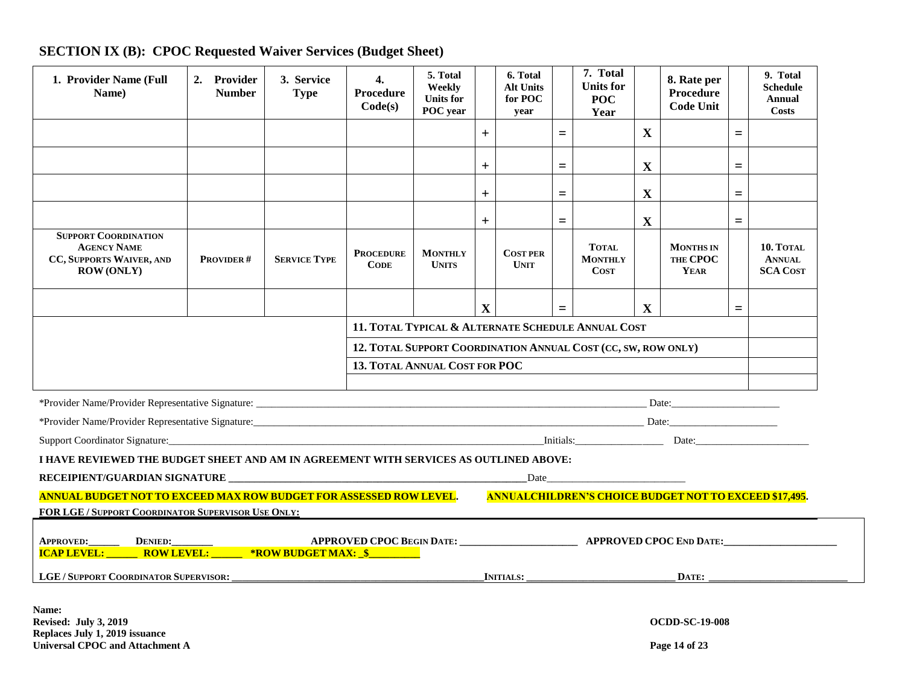| 1. Provider Name (Full<br>Name)                                                                                                                                                                                                | 2. Provider<br><b>Number</b> | 3. Service<br><b>Type</b> | $\boldsymbol{4}$ .<br>Procedure<br>Code(s) | 5. Total<br>Weekly<br><b>Units for</b><br>POC year            |                                                    | 6. Total<br><b>Alt Units</b><br>for POC<br>year |     | 7. Total<br><b>Units for</b><br>POC<br>Year   |              | 8. Rate per<br><b>Procedure</b><br><b>Code Unit</b> |          | 9. Total<br><b>Schedule</b><br>Annual<br>Costs |
|--------------------------------------------------------------------------------------------------------------------------------------------------------------------------------------------------------------------------------|------------------------------|---------------------------|--------------------------------------------|---------------------------------------------------------------|----------------------------------------------------|-------------------------------------------------|-----|-----------------------------------------------|--------------|-----------------------------------------------------|----------|------------------------------------------------|
|                                                                                                                                                                                                                                |                              |                           |                                            |                                                               | $+$                                                |                                                 | $=$ |                                               | $\mathbf{X}$ |                                                     | $=$      |                                                |
|                                                                                                                                                                                                                                |                              |                           |                                            |                                                               | $+$                                                |                                                 | $=$ |                                               | X            |                                                     | $=$      |                                                |
|                                                                                                                                                                                                                                |                              |                           |                                            |                                                               | $+$                                                |                                                 | $=$ |                                               | $\mathbf X$  |                                                     | $=$      |                                                |
|                                                                                                                                                                                                                                |                              |                           |                                            |                                                               | $+$                                                |                                                 | $=$ |                                               | $\mathbf{X}$ |                                                     | $=$      |                                                |
| <b>SUPPORT COORDINATION</b><br><b>AGENCY NAME</b><br>CC, SUPPORTS WAIVER, AND<br><b>ROW (ONLY)</b>                                                                                                                             | PROVIDER#                    | <b>SERVICE TYPE</b>       | <b>PROCEDURE</b><br><b>CODE</b>            | <b>MONTHLY</b><br><b>UNITS</b>                                |                                                    | <b>COST PER</b><br><b>UNIT</b>                  |     | <b>TOTAL</b><br><b>MONTHLY</b><br><b>COST</b> |              | <b>MONTHS IN</b><br>THE CPOC<br>YEAR                |          | 10. TOTAL<br><b>ANNUAL</b><br><b>SCA COST</b>  |
|                                                                                                                                                                                                                                |                              |                           |                                            |                                                               | $\mathbf{X}$                                       |                                                 | $=$ |                                               | $\mathbf{X}$ |                                                     | $\equiv$ |                                                |
|                                                                                                                                                                                                                                |                              |                           |                                            |                                                               | 11. TOTAL TYPICAL & ALTERNATE SCHEDULE ANNUAL COST |                                                 |     |                                               |              |                                                     |          |                                                |
|                                                                                                                                                                                                                                |                              |                           |                                            | 12. TOTAL SUPPORT COORDINATION ANNUAL COST (CC, SW, ROW ONLY) |                                                    |                                                 |     |                                               |              |                                                     |          |                                                |
| 13. TOTAL ANNUAL COST FOR POC                                                                                                                                                                                                  |                              |                           |                                            |                                                               |                                                    |                                                 |     |                                               |              |                                                     |          |                                                |
|                                                                                                                                                                                                                                |                              |                           |                                            |                                                               |                                                    |                                                 |     |                                               |              |                                                     |          |                                                |
|                                                                                                                                                                                                                                |                              |                           |                                            |                                                               |                                                    |                                                 |     |                                               |              |                                                     |          |                                                |
| Support Coordinator Signature: Date: Date: Date: Date: Date: Date: Date: Date: Date: Date: Date: Date: Date: Date: Date: Date: Date: Date: Date: Date: Date: Date: Date: Date: Date: Date: Date: Date: Date: Date: Date: Date: |                              |                           |                                            |                                                               |                                                    |                                                 |     |                                               |              |                                                     |          |                                                |
| I HAVE REVIEWED THE BUDGET SHEET AND AM IN AGREEMENT WITH SERVICES AS OUTLINED ABOVE:                                                                                                                                          |                              |                           |                                            |                                                               |                                                    |                                                 |     |                                               |              |                                                     |          |                                                |
|                                                                                                                                                                                                                                |                              |                           |                                            |                                                               |                                                    |                                                 |     |                                               |              |                                                     |          |                                                |
| <b>ANNUALCHILDREN'S CHOICE BUDGET NOT TO EXCEED \$17,495.</b><br>ANNUAL BUDGET NOT TO EXCEED MAX ROW BUDGET FOR ASSESSED ROW LEVEL.                                                                                            |                              |                           |                                            |                                                               |                                                    |                                                 |     |                                               |              |                                                     |          |                                                |
| <b>FOR LGE/SUPPORT COORDINATOR SUPERVISOR USE ONLY:</b>                                                                                                                                                                        |                              |                           |                                            |                                                               |                                                    |                                                 |     |                                               |              |                                                     |          |                                                |
|                                                                                                                                                                                                                                |                              |                           |                                            |                                                               |                                                    |                                                 |     |                                               |              |                                                     |          |                                                |
| LGE/SUPPORT COORDINATOR SUPERVISOR: _____________                                                                                                                                                                              |                              |                           |                                            |                                                               | <b>INITIALS:</b><br>DATE:                          |                                                 |     |                                               |              |                                                     |          |                                                |
| Name:<br><b>Revised: July 3, 2019</b><br>Replaces July 1, 2019 issuance                                                                                                                                                        |                              |                           |                                            |                                                               |                                                    |                                                 |     |                                               |              | <b>OCDD-SC-19-008</b>                               |          |                                                |

# **SECTION IX (B): CPOC Requested Waiver Services (Budget Sheet)**

Universal CPOC and Attachment A **Page 14** of 23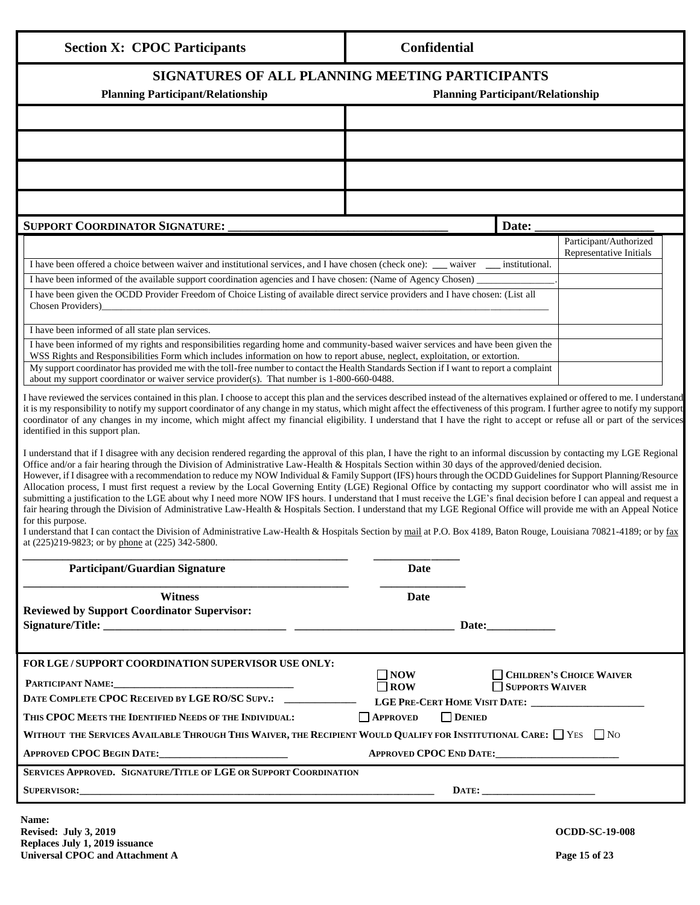| <b>Section X: CPOC Participants</b>                                                                                                                                                                                                                                                                                                                                                                                                                                                                                                                                                                                                                                                                                                                                                                                                                                                                                                                                                                                                                                                                                                                                                                                                                                                                                                                                                                                                                                                                                                                                                                                                                                                                                                                                                                                                                                                                                                                                                                                                                                                                                                                                                                                                                                                                                                                                                                                                                                                                                                                                                                                                                                                                                                                                                                                                                 | Confidential |       |  |  |  |  |  |
|-----------------------------------------------------------------------------------------------------------------------------------------------------------------------------------------------------------------------------------------------------------------------------------------------------------------------------------------------------------------------------------------------------------------------------------------------------------------------------------------------------------------------------------------------------------------------------------------------------------------------------------------------------------------------------------------------------------------------------------------------------------------------------------------------------------------------------------------------------------------------------------------------------------------------------------------------------------------------------------------------------------------------------------------------------------------------------------------------------------------------------------------------------------------------------------------------------------------------------------------------------------------------------------------------------------------------------------------------------------------------------------------------------------------------------------------------------------------------------------------------------------------------------------------------------------------------------------------------------------------------------------------------------------------------------------------------------------------------------------------------------------------------------------------------------------------------------------------------------------------------------------------------------------------------------------------------------------------------------------------------------------------------------------------------------------------------------------------------------------------------------------------------------------------------------------------------------------------------------------------------------------------------------------------------------------------------------------------------------------------------------------------------------------------------------------------------------------------------------------------------------------------------------------------------------------------------------------------------------------------------------------------------------------------------------------------------------------------------------------------------------------------------------------------------------------------------------------------------------|--------------|-------|--|--|--|--|--|
| SIGNATURES OF ALL PLANNING MEETING PARTICIPANTS<br><b>Planning Participant/Relationship</b><br><b>Planning Participant/Relationship</b>                                                                                                                                                                                                                                                                                                                                                                                                                                                                                                                                                                                                                                                                                                                                                                                                                                                                                                                                                                                                                                                                                                                                                                                                                                                                                                                                                                                                                                                                                                                                                                                                                                                                                                                                                                                                                                                                                                                                                                                                                                                                                                                                                                                                                                                                                                                                                                                                                                                                                                                                                                                                                                                                                                             |              |       |  |  |  |  |  |
|                                                                                                                                                                                                                                                                                                                                                                                                                                                                                                                                                                                                                                                                                                                                                                                                                                                                                                                                                                                                                                                                                                                                                                                                                                                                                                                                                                                                                                                                                                                                                                                                                                                                                                                                                                                                                                                                                                                                                                                                                                                                                                                                                                                                                                                                                                                                                                                                                                                                                                                                                                                                                                                                                                                                                                                                                                                     |              |       |  |  |  |  |  |
|                                                                                                                                                                                                                                                                                                                                                                                                                                                                                                                                                                                                                                                                                                                                                                                                                                                                                                                                                                                                                                                                                                                                                                                                                                                                                                                                                                                                                                                                                                                                                                                                                                                                                                                                                                                                                                                                                                                                                                                                                                                                                                                                                                                                                                                                                                                                                                                                                                                                                                                                                                                                                                                                                                                                                                                                                                                     |              |       |  |  |  |  |  |
|                                                                                                                                                                                                                                                                                                                                                                                                                                                                                                                                                                                                                                                                                                                                                                                                                                                                                                                                                                                                                                                                                                                                                                                                                                                                                                                                                                                                                                                                                                                                                                                                                                                                                                                                                                                                                                                                                                                                                                                                                                                                                                                                                                                                                                                                                                                                                                                                                                                                                                                                                                                                                                                                                                                                                                                                                                                     |              |       |  |  |  |  |  |
|                                                                                                                                                                                                                                                                                                                                                                                                                                                                                                                                                                                                                                                                                                                                                                                                                                                                                                                                                                                                                                                                                                                                                                                                                                                                                                                                                                                                                                                                                                                                                                                                                                                                                                                                                                                                                                                                                                                                                                                                                                                                                                                                                                                                                                                                                                                                                                                                                                                                                                                                                                                                                                                                                                                                                                                                                                                     |              |       |  |  |  |  |  |
| <b>SUPPORT COORDINATOR SIGNATURE:</b>                                                                                                                                                                                                                                                                                                                                                                                                                                                                                                                                                                                                                                                                                                                                                                                                                                                                                                                                                                                                                                                                                                                                                                                                                                                                                                                                                                                                                                                                                                                                                                                                                                                                                                                                                                                                                                                                                                                                                                                                                                                                                                                                                                                                                                                                                                                                                                                                                                                                                                                                                                                                                                                                                                                                                                                                               |              | Date: |  |  |  |  |  |
| Participant/Authorized<br>Representative Initials<br>I have been offered a choice between waiver and institutional services, and I have chosen (check one):<br>institutional.<br>waiver<br>I have been informed of the available support coordination agencies and I have chosen: (Name of Agency Chosen)<br>I have been given the OCDD Provider Freedom of Choice Listing of available direct service providers and I have chosen: (List all<br>Chosen Providers)<br>I have been informed of all state plan services.<br>I have been informed of my rights and responsibilities regarding home and community-based waiver services and have been given the<br>WSS Rights and Responsibilities Form which includes information on how to report abuse, neglect, exploitation, or extortion.<br>My support coordinator has provided me with the toll-free number to contact the Health Standards Section if I want to report a complaint<br>about my support coordinator or waiver service provider(s). That number is 1-800-660-0488.<br>I have reviewed the services contained in this plan. I choose to accept this plan and the services described instead of the alternatives explained or offered to me. I understand<br>it is my responsibility to notify my support coordinator of any change in my status, which might affect the effectiveness of this program. I further agree to notify my support<br>coordinator of any changes in my income, which might affect my financial eligibility. I understand that I have the right to accept or refuse all or part of the services<br>identified in this support plan.<br>I understand that if I disagree with any decision rendered regarding the approval of this plan, I have the right to an informal discussion by contacting my LGE Regional<br>Office and/or a fair hearing through the Division of Administrative Law-Health & Hospitals Section within 30 days of the approved/denied decision.<br>However, if I disagree with a recommendation to reduce my NOW Individual & Family Support (IFS) hours through the OCDD Guidelines for Support Planning/Resource<br>Allocation process, I must first request a review by the Local Governing Entity (LGE) Regional Office by contacting my support coordinator who will assist me in<br>submitting a justification to the LGE about why I need more NOW IFS hours. I understand that I must receive the LGE's final decision before I can appeal and request a<br>fair hearing through the Division of Administrative Law-Health & Hospitals Section. I understand that my LGE Regional Office will provide me with an Appeal Notice<br>for this purpose.<br>I understand that I can contact the Division of Administrative Law-Health & Hospitals Section by mail at P.O. Box 4189, Baton Rouge, Louisiana 70821-4189; or by fax |              |       |  |  |  |  |  |
| <b>Participant/Guardian Signature</b>                                                                                                                                                                                                                                                                                                                                                                                                                                                                                                                                                                                                                                                                                                                                                                                                                                                                                                                                                                                                                                                                                                                                                                                                                                                                                                                                                                                                                                                                                                                                                                                                                                                                                                                                                                                                                                                                                                                                                                                                                                                                                                                                                                                                                                                                                                                                                                                                                                                                                                                                                                                                                                                                                                                                                                                                               | Date         |       |  |  |  |  |  |
| <b>Witness</b>                                                                                                                                                                                                                                                                                                                                                                                                                                                                                                                                                                                                                                                                                                                                                                                                                                                                                                                                                                                                                                                                                                                                                                                                                                                                                                                                                                                                                                                                                                                                                                                                                                                                                                                                                                                                                                                                                                                                                                                                                                                                                                                                                                                                                                                                                                                                                                                                                                                                                                                                                                                                                                                                                                                                                                                                                                      | Date         |       |  |  |  |  |  |
| <b>Reviewed by Support Coordinator Supervisor:</b>                                                                                                                                                                                                                                                                                                                                                                                                                                                                                                                                                                                                                                                                                                                                                                                                                                                                                                                                                                                                                                                                                                                                                                                                                                                                                                                                                                                                                                                                                                                                                                                                                                                                                                                                                                                                                                                                                                                                                                                                                                                                                                                                                                                                                                                                                                                                                                                                                                                                                                                                                                                                                                                                                                                                                                                                  | Date:        |       |  |  |  |  |  |
| FOR LGE / SUPPORT COORDINATION SUPERVISOR USE ONLY:                                                                                                                                                                                                                                                                                                                                                                                                                                                                                                                                                                                                                                                                                                                                                                                                                                                                                                                                                                                                                                                                                                                                                                                                                                                                                                                                                                                                                                                                                                                                                                                                                                                                                                                                                                                                                                                                                                                                                                                                                                                                                                                                                                                                                                                                                                                                                                                                                                                                                                                                                                                                                                                                                                                                                                                                 |              |       |  |  |  |  |  |
| $\exists$ NOW<br><b>CHILDREN'S CHOICE WAIVER</b><br><b>PARTICIPANT NAME:</b><br>$\square$ ROW<br>SUPPORTS WAIVER<br>DATE COMPLETE CPOC RECEIVED BY LGE RO/SC SUPV.: _____________<br>$\Box$ DENIED<br>THIS CPOC MEETS THE IDENTIFIED NEEDS OF THE INDIVIDUAL:<br><b>APPROVED</b><br>WITHOUT THE SERVICES AVAILABLE THROUGH THIS WAIVER, THE RECIPIENT WOULD QUALIFY FOR INSTITUTIONAL CARE: $\Box$ Yes $\Box$ No<br>APPROVED CPOC END DATE:                                                                                                                                                                                                                                                                                                                                                                                                                                                                                                                                                                                                                                                                                                                                                                                                                                                                                                                                                                                                                                                                                                                                                                                                                                                                                                                                                                                                                                                                                                                                                                                                                                                                                                                                                                                                                                                                                                                                                                                                                                                                                                                                                                                                                                                                                                                                                                                                         |              |       |  |  |  |  |  |
| SERVICES APPROVED. SIGNATURE/TITLE OF LGE OR SUPPORT COORDINATION<br>SUPERVISOR: <b>SUPERVISOR</b>                                                                                                                                                                                                                                                                                                                                                                                                                                                                                                                                                                                                                                                                                                                                                                                                                                                                                                                                                                                                                                                                                                                                                                                                                                                                                                                                                                                                                                                                                                                                                                                                                                                                                                                                                                                                                                                                                                                                                                                                                                                                                                                                                                                                                                                                                                                                                                                                                                                                                                                                                                                                                                                                                                                                                  | DATE:        |       |  |  |  |  |  |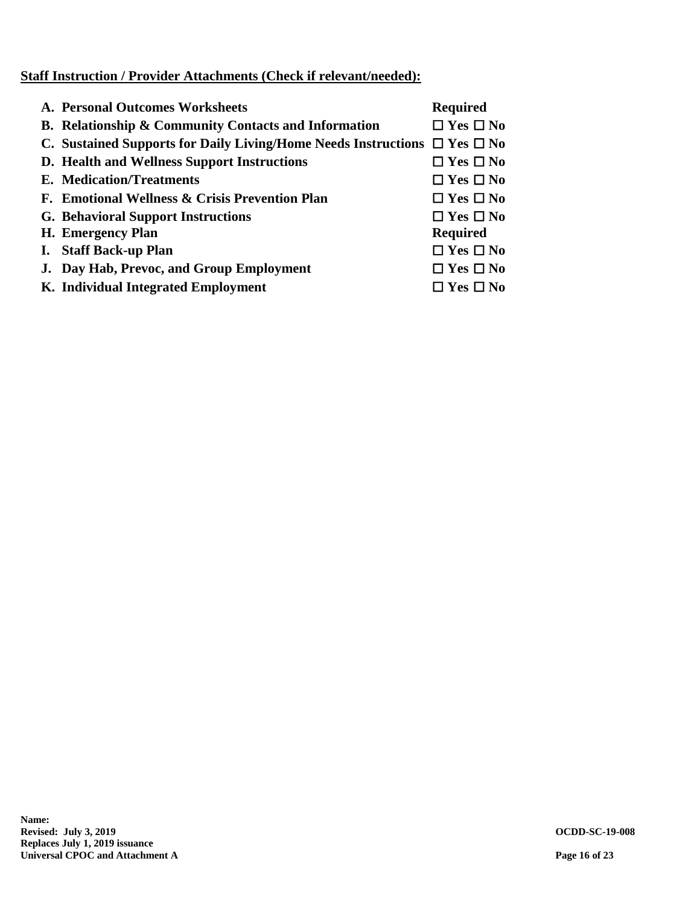# **Staff Instruction / Provider Attachments (Check if relevant/needed):**

| A. Personal Outcomes Worksheets                                                     | <b>Required</b>      |
|-------------------------------------------------------------------------------------|----------------------|
| B. Relationship & Community Contacts and Information                                | $\Box$ Yes $\Box$ No |
| C. Sustained Supports for Daily Living/Home Needs Instructions $\Box$ Yes $\Box$ No |                      |
| D. Health and Wellness Support Instructions                                         | $\Box$ Yes $\Box$ No |
| <b>E.</b> Medication/Treatments                                                     | $\Box$ Yes $\Box$ No |
| F. Emotional Wellness & Crisis Prevention Plan                                      | $\Box$ Yes $\Box$ No |
| <b>G. Behavioral Support Instructions</b>                                           | $\Box$ Yes $\Box$ No |
| H. Emergency Plan                                                                   | <b>Required</b>      |
| I. Staff Back-up Plan                                                               | $\Box$ Yes $\Box$ No |
| J. Day Hab, Prevoc, and Group Employment                                            | $\Box$ Yes $\Box$ No |
| K. Individual Integrated Employment                                                 | $\Box$ Yes $\Box$ No |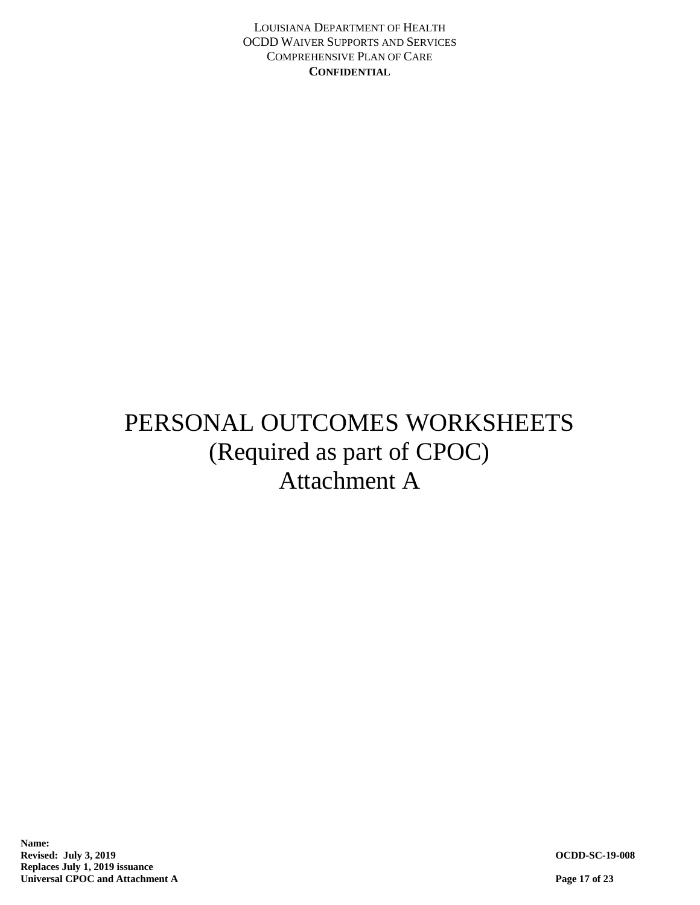# PERSONAL OUTCOMES WORKSHEETS (Required as part of CPOC) Attachment A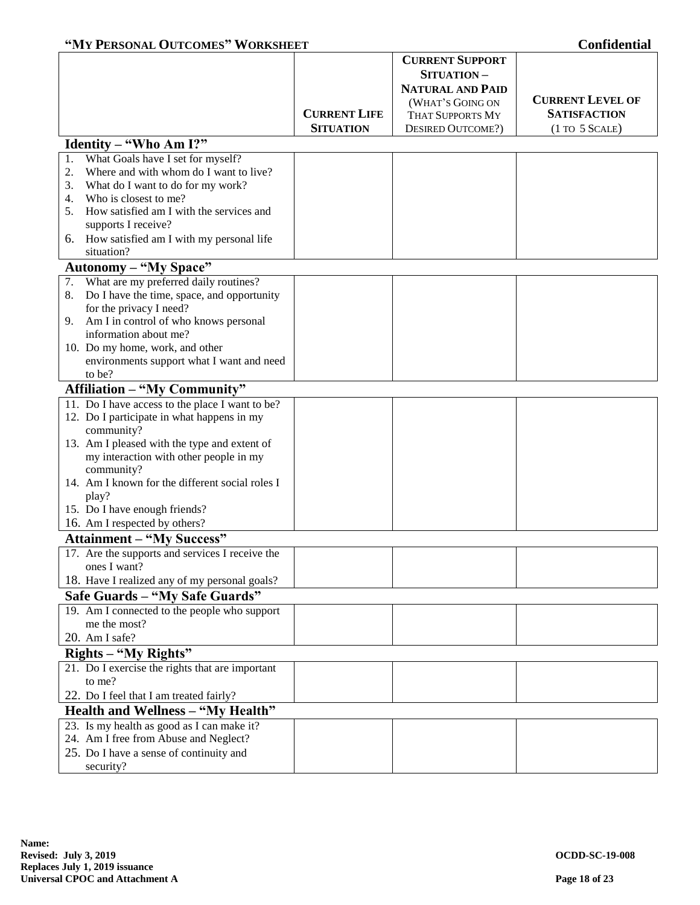|                                                  |                     | <b>CURRENT SUPPORT</b>   |                                   |  |  |
|--------------------------------------------------|---------------------|--------------------------|-----------------------------------|--|--|
|                                                  |                     | SITUATION-               |                                   |  |  |
|                                                  |                     | <b>NATURAL AND PAID</b>  |                                   |  |  |
|                                                  |                     | (WHAT'S GOING ON         | <b>CURRENT LEVEL OF</b>           |  |  |
|                                                  | <b>CURRENT LIFE</b> | <b>THAT SUPPORTS MY</b>  | <b>SATISFACTION</b>               |  |  |
|                                                  | <b>SITUATION</b>    | <b>DESIRED OUTCOME?)</b> | $(1 \text{ TO } 5 \text{ SCALE})$ |  |  |
| Identity - "Who Am I?"                           |                     |                          |                                   |  |  |
| What Goals have I set for myself?<br>1.          |                     |                          |                                   |  |  |
| Where and with whom do I want to live?<br>2.     |                     |                          |                                   |  |  |
| What do I want to do for my work?<br>3.          |                     |                          |                                   |  |  |
| Who is closest to me?<br>4.                      |                     |                          |                                   |  |  |
| How satisfied am I with the services and<br>5.   |                     |                          |                                   |  |  |
| supports I receive?                              |                     |                          |                                   |  |  |
| How satisfied am I with my personal life<br>6.   |                     |                          |                                   |  |  |
| situation?                                       |                     |                          |                                   |  |  |
| <b>Autonomy - "My Space"</b>                     |                     |                          |                                   |  |  |
| What are my preferred daily routines?<br>7.      |                     |                          |                                   |  |  |
| Do I have the time, space, and opportunity<br>8. |                     |                          |                                   |  |  |
| for the privacy I need?                          |                     |                          |                                   |  |  |
| Am I in control of who knows personal<br>9.      |                     |                          |                                   |  |  |
| information about me?                            |                     |                          |                                   |  |  |
| 10. Do my home, work, and other                  |                     |                          |                                   |  |  |
| environments support what I want and need        |                     |                          |                                   |  |  |
| to be?                                           |                     |                          |                                   |  |  |
| <b>Affiliation - "My Community"</b>              |                     |                          |                                   |  |  |
| 11. Do I have access to the place I want to be?  |                     |                          |                                   |  |  |
| 12. Do I participate in what happens in my       |                     |                          |                                   |  |  |
| community?                                       |                     |                          |                                   |  |  |
| 13. Am I pleased with the type and extent of     |                     |                          |                                   |  |  |
| my interaction with other people in my           |                     |                          |                                   |  |  |
| community?                                       |                     |                          |                                   |  |  |
| 14. Am I known for the different social roles I  |                     |                          |                                   |  |  |
| play?                                            |                     |                          |                                   |  |  |
| 15. Do I have enough friends?                    |                     |                          |                                   |  |  |
| 16. Am I respected by others?                    |                     |                          |                                   |  |  |
| <b>Attainment – "My Success"</b>                 |                     |                          |                                   |  |  |
| 17. Are the supports and services I receive the  |                     |                          |                                   |  |  |
| ones I want?                                     |                     |                          |                                   |  |  |
| 18. Have I realized any of my personal goals?    |                     |                          |                                   |  |  |
| Safe Guards – "My Safe Guards"                   |                     |                          |                                   |  |  |
| 19. Am I connected to the people who support     |                     |                          |                                   |  |  |
| me the most?                                     |                     |                          |                                   |  |  |
| 20. Am I safe?                                   |                     |                          |                                   |  |  |
| Rights – "My Rights"                             |                     |                          |                                   |  |  |
| 21. Do I exercise the rights that are important  |                     |                          |                                   |  |  |
| to me?                                           |                     |                          |                                   |  |  |
| 22. Do I feel that I am treated fairly?          |                     |                          |                                   |  |  |
| <b>Health and Wellness - "My Health"</b>         |                     |                          |                                   |  |  |
| 23. Is my health as good as I can make it?       |                     |                          |                                   |  |  |
| 24. Am I free from Abuse and Neglect?            |                     |                          |                                   |  |  |
| 25. Do I have a sense of continuity and          |                     |                          |                                   |  |  |
| security?                                        |                     |                          |                                   |  |  |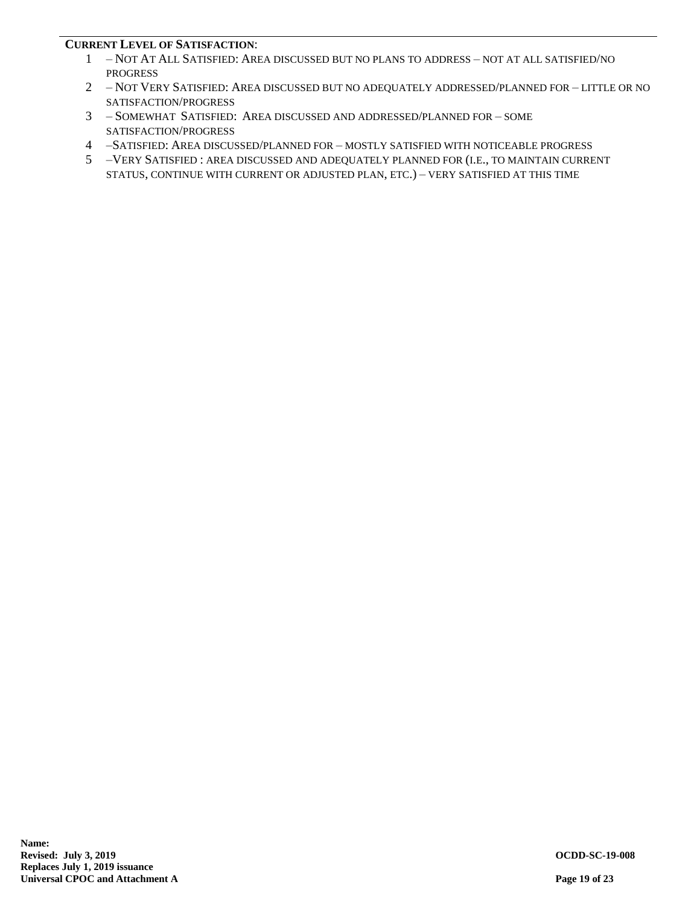### **CURRENT LEVEL OF SATISFACTION**:

- 1 NOT AT ALL SATISFIED: AREA DISCUSSED BUT NO PLANS TO ADDRESS NOT AT ALL SATISFIED/NO PROGRESS
- 2 NOT VERY SATISFIED: AREA DISCUSSED BUT NO ADEQUATELY ADDRESSED/PLANNED FOR LITTLE OR NO SATISFACTION/PROGRESS
- 3 SOMEWHAT SATISFIED: AREA DISCUSSED AND ADDRESSED/PLANNED FOR SOME SATISFACTION/PROGRESS
- 4 –SATISFIED: AREA DISCUSSED/PLANNED FOR MOSTLY SATISFIED WITH NOTICEABLE PROGRESS
- 5 –VERY SATISFIED : AREA DISCUSSED AND ADEQUATELY PLANNED FOR (I.E., TO MAINTAIN CURRENT STATUS, CONTINUE WITH CURRENT OR ADJUSTED PLAN, ETC.) – VERY SATISFIED AT THIS TIME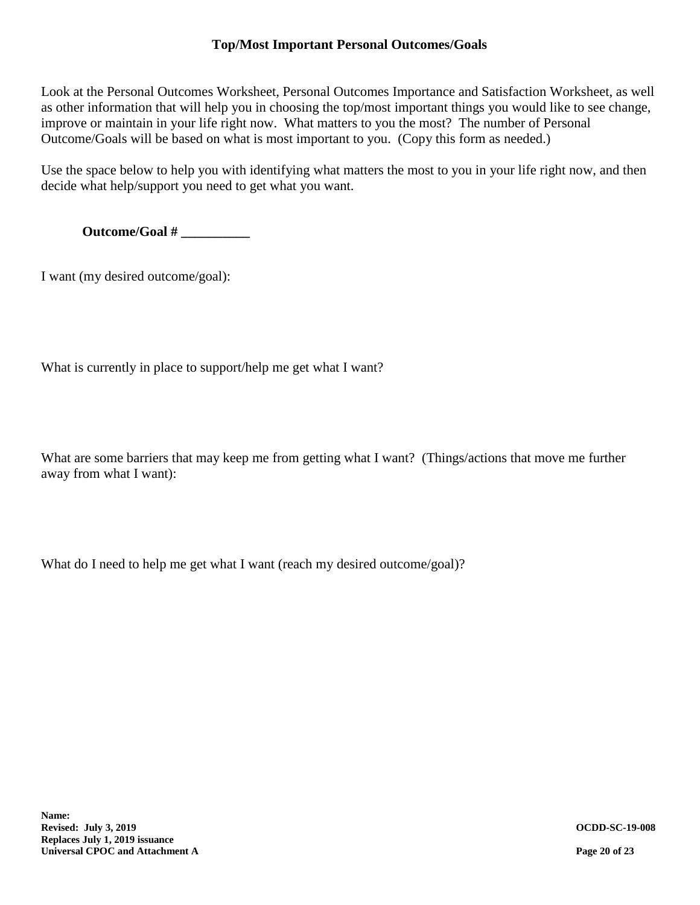# **Top/Most Important Personal Outcomes/Goals**

Look at the Personal Outcomes Worksheet, Personal Outcomes Importance and Satisfaction Worksheet, as well as other information that will help you in choosing the top/most important things you would like to see change, improve or maintain in your life right now. What matters to you the most? The number of Personal Outcome/Goals will be based on what is most important to you. (Copy this form as needed.)

Use the space below to help you with identifying what matters the most to you in your life right now, and then decide what help/support you need to get what you want.

**Outcome/Goal # \_\_\_\_\_\_\_\_\_\_**

I want (my desired outcome/goal):

What is currently in place to support/help me get what I want?

What are some barriers that may keep me from getting what I want? (Things/actions that move me further away from what I want):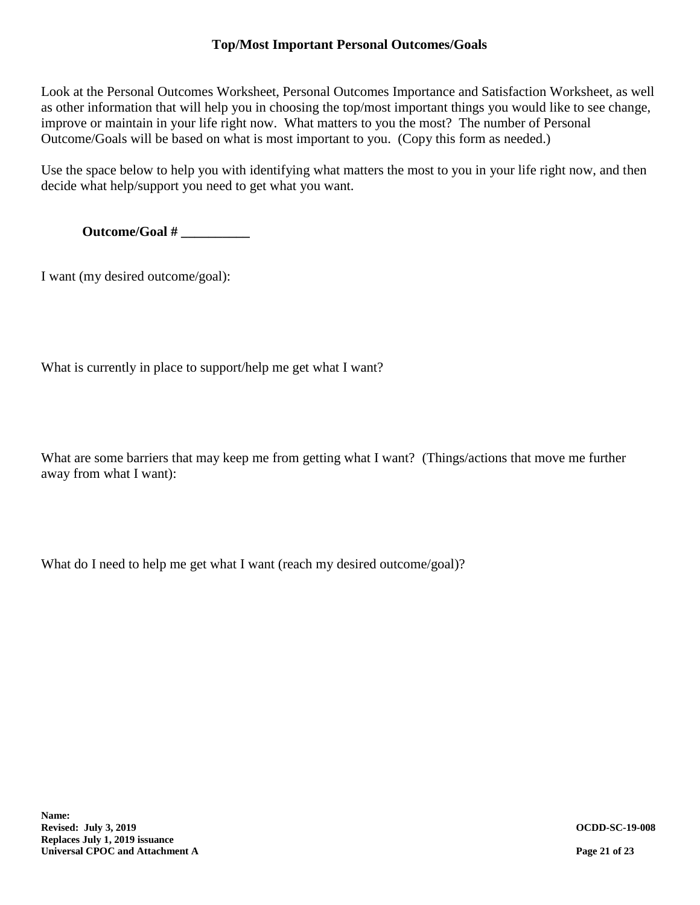# **Top/Most Important Personal Outcomes/Goals**

Look at the Personal Outcomes Worksheet, Personal Outcomes Importance and Satisfaction Worksheet, as well as other information that will help you in choosing the top/most important things you would like to see change, improve or maintain in your life right now. What matters to you the most? The number of Personal Outcome/Goals will be based on what is most important to you. (Copy this form as needed.)

Use the space below to help you with identifying what matters the most to you in your life right now, and then decide what help/support you need to get what you want.

**Outcome/Goal # \_\_\_\_\_\_\_\_\_\_**

I want (my desired outcome/goal):

What is currently in place to support/help me get what I want?

What are some barriers that may keep me from getting what I want? (Things/actions that move me further away from what I want):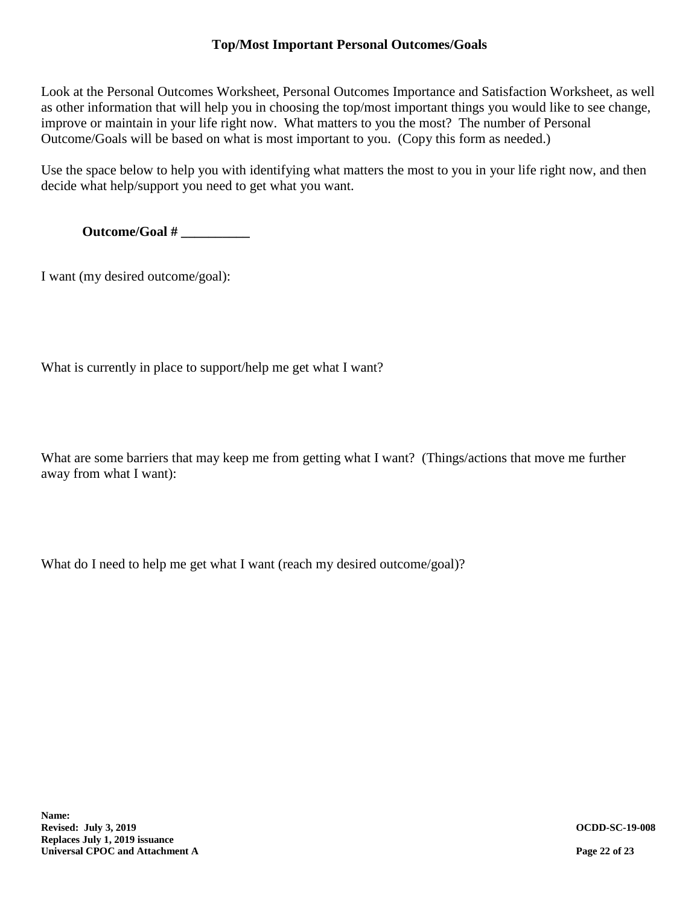# **Top/Most Important Personal Outcomes/Goals**

Look at the Personal Outcomes Worksheet, Personal Outcomes Importance and Satisfaction Worksheet, as well as other information that will help you in choosing the top/most important things you would like to see change, improve or maintain in your life right now. What matters to you the most? The number of Personal Outcome/Goals will be based on what is most important to you. (Copy this form as needed.)

Use the space below to help you with identifying what matters the most to you in your life right now, and then decide what help/support you need to get what you want.

**Outcome/Goal # \_\_\_\_\_\_\_\_\_\_**

I want (my desired outcome/goal):

What is currently in place to support/help me get what I want?

What are some barriers that may keep me from getting what I want? (Things/actions that move me further away from what I want):